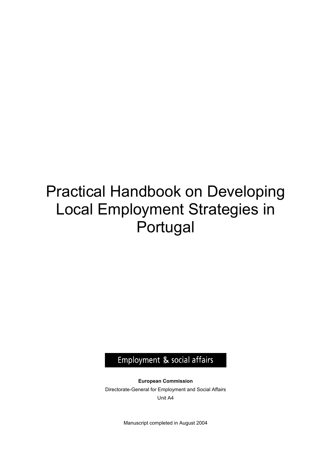# Practical Handbook on Developing Local Employment Strategies in Portugal

Employment & social affairs

**European Commission**  Directorate-General for Employment and Social Affairs Unit A4

Manuscript completed in August 2004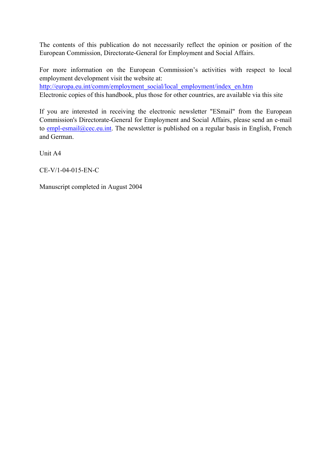The contents of this publication do not necessarily reflect the opinion or position of the European Commission, Directorate-General for Employment and Social Affairs.

For more information on the European Commission's activities with respect to local employment development visit the website at: http://europa.eu.int/comm/employment\_social/local\_employment/index\_en.htm

Electronic copies of this handbook, plus those for other countries, are available via this site

If you are interested in receiving the electronic newsletter "ESmail" from the European Commission's Directorate-General for Employment and Social Affairs, please send an e-mail to empl-esmail@cec.eu.int. The newsletter is published on a regular basis in English, French and German.

Unit A4

CE-V/1-04-015-EN-C

Manuscript completed in August 2004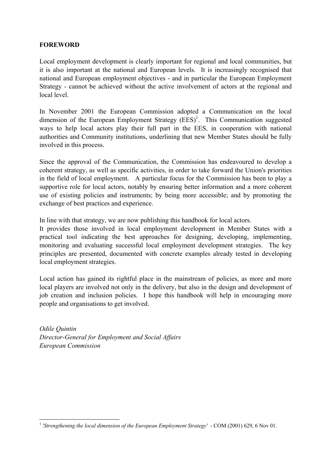#### **FOREWORD**

Local employment development is clearly important for regional and local communities, but it is also important at the national and European levels. It is increasingly recognised that national and European employment objectives - and in particular the European Employment Strategy - cannot be achieved without the active involvement of actors at the regional and local level.

In November 2001 the European Commission adopted a Communication on the local dimension of the European Employment Strategy  $(EES)^1$ . This Communication suggested ways to help local actors play their full part in the EES, in cooperation with national authorities and Community institutions, underlining that new Member States should be fully involved in this process.

Since the approval of the Communication, the Commission has endeavoured to develop a coherent strategy, as well as specific activities, in order to take forward the Union's priorities in the field of local employment. A particular focus for the Commission has been to play a supportive role for local actors, notably by ensuring better information and a more coherent use of existing policies and instruments; by being more accessible; and by promoting the exchange of best practices and experience.

In line with that strategy, we are now publishing this handbook for local actors.

It provides those involved in local employment development in Member States with a practical tool indicating the best approaches for designing, developing, implementing, monitoring and evaluating successful local employment development strategies. The key principles are presented, documented with concrete examples already tested in developing local employment strategies.

Local action has gained its rightful place in the mainstream of policies, as more and more local players are involved not only in the delivery, but also in the design and development of job creation and inclusion policies. I hope this handbook will help in encouraging more people and organisations to get involved.

*Odile Quintin Director-General for Employment and Social Affairs European Commission* 

 $\overline{a}$ <sup>1</sup> *'Strengthening the local dimension of the European Employment Strategy'* - COM (2001) 629, 6 Nov 01.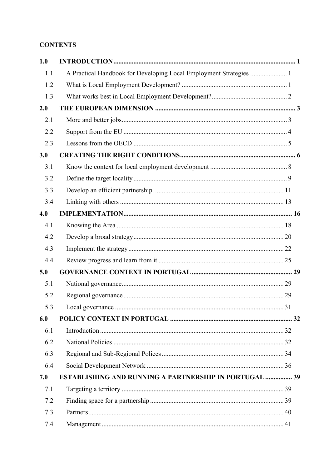#### **CONTENTS**

| 1.0 |                                                                    |  |
|-----|--------------------------------------------------------------------|--|
| 1.1 | A Practical Handbook for Developing Local Employment Strategies  1 |  |
| 1.2 |                                                                    |  |
| 1.3 |                                                                    |  |
| 2.0 |                                                                    |  |
| 2.1 |                                                                    |  |
| 2.2 |                                                                    |  |
| 2.3 |                                                                    |  |
| 3.0 |                                                                    |  |
| 3.1 |                                                                    |  |
| 3.2 |                                                                    |  |
| 3.3 |                                                                    |  |
| 3.4 |                                                                    |  |
| 4.0 |                                                                    |  |
| 4.1 |                                                                    |  |
| 4.2 |                                                                    |  |
| 4.3 |                                                                    |  |
| 4.4 |                                                                    |  |
| 5.0 |                                                                    |  |
| 5.1 |                                                                    |  |
| 5.2 |                                                                    |  |
| 5.3 |                                                                    |  |
| 6.0 |                                                                    |  |
| 6.1 |                                                                    |  |
| 6.2 |                                                                    |  |
| 6.3 |                                                                    |  |
| 6.4 |                                                                    |  |
| 7.0 | <b>ESTABLISHING AND RUNNING A PARTNERSHIP IN PORTUGAL  39</b>      |  |
| 7.1 |                                                                    |  |
| 7.2 |                                                                    |  |
| 7.3 |                                                                    |  |
| 7.4 |                                                                    |  |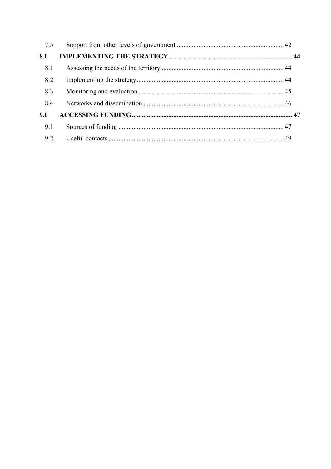| 7.5 |  |
|-----|--|
| 8.0 |  |
| 8.1 |  |
| 8.2 |  |
| 8.3 |  |
| 8.4 |  |
| 9.0 |  |
| 9.1 |  |
| 9.2 |  |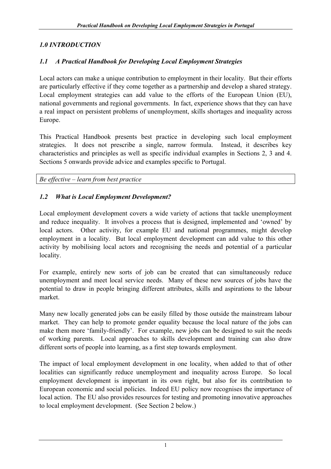## *1.0 INTRODUCTION*

## *1.1 A Practical Handbook for Developing Local Employment Strategies*

Local actors can make a unique contribution to employment in their locality. But their efforts are particularly effective if they come together as a partnership and develop a shared strategy. Local employment strategies can add value to the efforts of the European Union (EU), national governments and regional governments. In fact, experience shows that they can have a real impact on persistent problems of unemployment, skills shortages and inequality across Europe.

This Practical Handbook presents best practice in developing such local employment strategies. It does not prescribe a single, narrow formula. Instead, it describes key characteristics and principles as well as specific individual examples in Sections 2, 3 and 4. Sections 5 onwards provide advice and examples specific to Portugal.

*Be effective – learn from best practice* 

#### *1.2 What is Local Employment Development?*

Local employment development covers a wide variety of actions that tackle unemployment and reduce inequality. It involves a process that is designed, implemented and 'owned' by local actors. Other activity, for example EU and national programmes, might develop employment in a locality. But local employment development can add value to this other activity by mobilising local actors and recognising the needs and potential of a particular locality.

For example, entirely new sorts of job can be created that can simultaneously reduce unemployment and meet local service needs. Many of these new sources of jobs have the potential to draw in people bringing different attributes, skills and aspirations to the labour market.

Many new locally generated jobs can be easily filled by those outside the mainstream labour market. They can help to promote gender equality because the local nature of the jobs can make them more 'family-friendly'. For example, new jobs can be designed to suit the needs of working parents. Local approaches to skills development and training can also draw different sorts of people into learning, as a first step towards employment.

The impact of local employment development in one locality, when added to that of other localities can significantly reduce unemployment and inequality across Europe. So local employment development is important in its own right, but also for its contribution to European economic and social policies. Indeed EU policy now recognises the importance of local action. The EU also provides resources for testing and promoting innovative approaches to local employment development. (See Section 2 below.)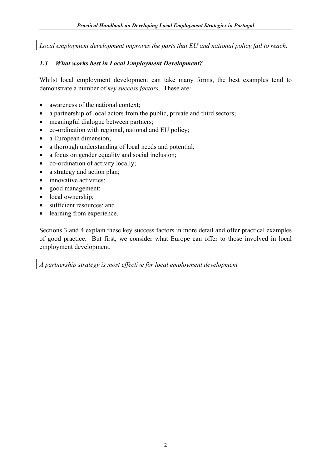*Local employment development improves the parts that EU and national policy fail to reach.* 

## *1.3 What works best in Local Employment Development?*

Whilst local employment development can take many forms, the best examples tend to demonstrate a number of *key success factors*. These are:

- awareness of the national context:
- a partnership of local actors from the public, private and third sectors;
- meaningful dialogue between partners:
- co-ordination with regional, national and EU policy;
- a European dimension;
- a thorough understanding of local needs and potential;
- a focus on gender equality and social inclusion;
- co-ordination of activity locally;
- a strategy and action plan;
- innovative activities;
- good management;
- local ownership;
- sufficient resources; and
- learning from experience.

Sections 3 and 4 explain these key success factors in more detail and offer practical examples of good practice. But first, we consider what Europe can offer to those involved in local employment development.

*A partnership strategy is most effective for local employment development*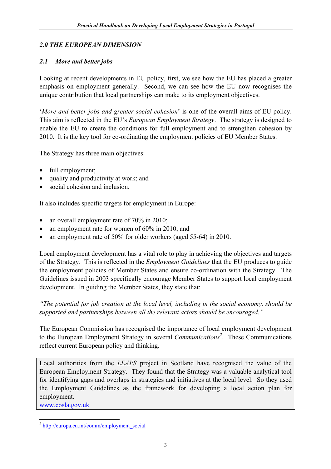#### *2.0 THE EUROPEAN DIMENSION*

#### *2.1 More and better jobs*

Looking at recent developments in EU policy, first, we see how the EU has placed a greater emphasis on employment generally. Second, we can see how the EU now recognises the unique contribution that local partnerships can make to its employment objectives.

'*More and better jobs and greater social cohesion*' is one of the overall aims of EU policy. This aim is reflected in the EU's *European Employment Strategy*. The strategy is designed to enable the EU to create the conditions for full employment and to strengthen cohesion by 2010. It is the key tool for co-ordinating the employment policies of EU Member States.

The Strategy has three main objectives:

- full employment;
- quality and productivity at work; and
- social cohesion and inclusion

It also includes specific targets for employment in Europe:

- an overall employment rate of 70% in 2010;
- an employment rate for women of 60% in 2010; and
- an employment rate of 50% for older workers (aged 55-64) in 2010.

Local employment development has a vital role to play in achieving the objectives and targets of the Strategy. This is reflected in the *Employment Guidelines* that the EU produces to guide the employment policies of Member States and ensure co-ordination with the Strategy. The Guidelines issued in 2003 specifically encourage Member States to support local employment development. In guiding the Member States, they state that:

*"The potential for job creation at the local level, including in the social economy, should be supported and partnerships between all the relevant actors should be encouraged."* 

The European Commission has recognised the importance of local employment development to the European Employment Strategy in several *Communications*<sup>2</sup>. These Communications reflect current European policy and thinking.

Local authorities from the *LEAPS* project in Scotland have recognised the value of the European Employment Strategy. They found that the Strategy was a valuable analytical tool for identifying gaps and overlaps in strategies and initiatives at the local level. So they used the Employment Guidelines as the framework for developing a local action plan for employment.

www.cosla.gov.uk

 $\overline{a}$ <sup>2</sup> http://europa.eu.int/comm/employment\_social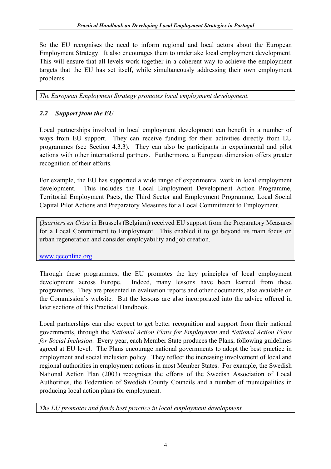So the EU recognises the need to inform regional and local actors about the European Employment Strategy. It also encourages them to undertake local employment development. This will ensure that all levels work together in a coherent way to achieve the employment targets that the EU has set itself, while simultaneously addressing their own employment problems.

*The European Employment Strategy promotes local employment development.* 

# *2.2 Support from the EU*

Local partnerships involved in local employment development can benefit in a number of ways from EU support. They can receive funding for their activities directly from EU programmes (see Section 4.3.3). They can also be participants in experimental and pilot actions with other international partners. Furthermore, a European dimension offers greater recognition of their efforts.

For example, the EU has supported a wide range of experimental work in local employment development. This includes the Local Employment Development Action Programme, Territorial Employment Pacts, the Third Sector and Employment Programme, Local Social Capital Pilot Actions and Preparatory Measures for a Local Commitment to Employment.

*Quartiers en Crise* in Brussels (Belgium) received EU support from the Preparatory Measures for a Local Commitment to Employment. This enabled it to go beyond its main focus on urban regeneration and consider employability and job creation.

www.qeconline.org

Through these programmes, the EU promotes the key principles of local employment development across Europe. Indeed, many lessons have been learned from these programmes. They are presented in evaluation reports and other documents, also available on the Commission's website. But the lessons are also incorporated into the advice offered in later sections of this Practical Handbook.

Local partnerships can also expect to get better recognition and support from their national governments, through the *National Action Plans for Employment* and *National Action Plans for Social Inclusion*. Every year, each Member State produces the Plans, following guidelines agreed at EU level. The Plans encourage national governments to adopt the best practice in employment and social inclusion policy. They reflect the increasing involvement of local and regional authorities in employment actions in most Member States. For example, the Swedish National Action Plan (2003) recognises the efforts of the Swedish Association of Local Authorities, the Federation of Swedish County Councils and a number of municipalities in producing local action plans for employment.

*The EU promotes and funds best practice in local employment development.*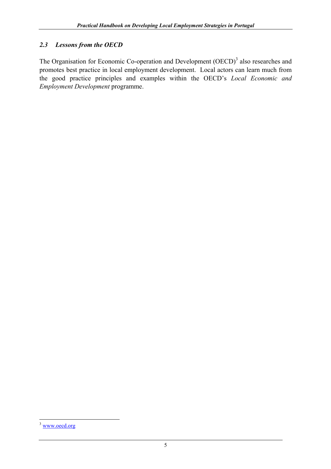# *2.3 Lessons from the OECD*

The Organisation for Economic Co-operation and Development  $(OECD)^3$  also researches and promotes best practice in local employment development. Local actors can learn much from the good practice principles and examples within the OECD's *Local Economic and Employment Development* programme.

 $\overline{a}$ 

<sup>&</sup>lt;sup>3</sup> www.oecd.org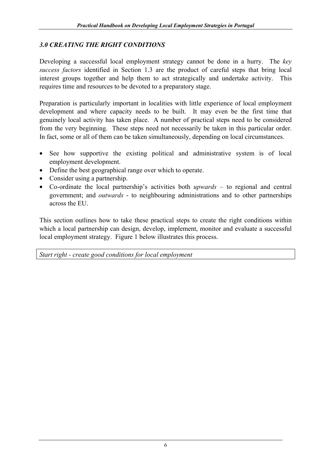#### *3.0 CREATING THE RIGHT CONDITIONS*

Developing a successful local employment strategy cannot be done in a hurry. The *key success factors* identified in Section 1.3 are the product of careful steps that bring local interest groups together and help them to act strategically and undertake activity. This requires time and resources to be devoted to a preparatory stage.

Preparation is particularly important in localities with little experience of local employment development and where capacity needs to be built. It may even be the first time that genuinely local activity has taken place. A number of practical steps need to be considered from the very beginning. These steps need not necessarily be taken in this particular order. In fact, some or all of them can be taken simultaneously, depending on local circumstances.

- See how supportive the existing political and administrative system is of local employment development.
- Define the best geographical range over which to operate.
- Consider using a partnership.
- Co-ordinate the local partnership's activities both *upwards* to regional and central government; and *outwards* - to neighbouring administrations and to other partnerships across the EU.

This section outlines how to take these practical steps to create the right conditions within which a local partnership can design, develop, implement, monitor and evaluate a successful local employment strategy. Figure 1 below illustrates this process.

*Start right - create good conditions for local employment*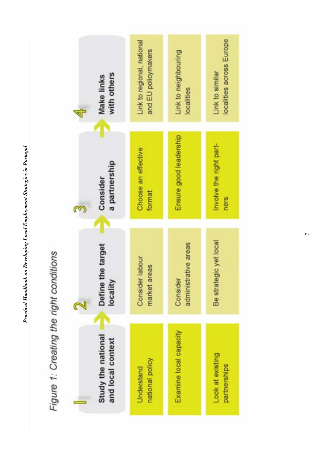

 $\overline{7}$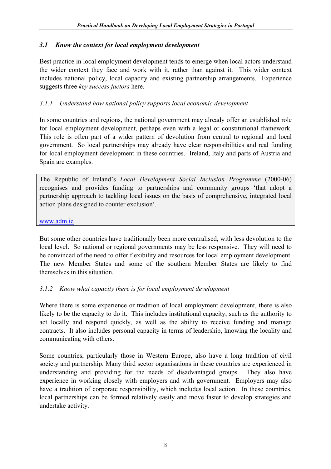# *3.1 Know the context for local employment development*

Best practice in local employment development tends to emerge when local actors understand the wider context they face and work with it, rather than against it. This wider context includes national policy, local capacity and existing partnership arrangements. Experience suggests three *key success factors* here.

# *3.1.1 Understand how national policy supports local economic development*

In some countries and regions, the national government may already offer an established role for local employment development, perhaps even with a legal or constitutional framework. This role is often part of a wider pattern of devolution from central to regional and local government. So local partnerships may already have clear responsibilities and real funding for local employment development in these countries. Ireland, Italy and parts of Austria and Spain are examples.

The Republic of Ireland's *Local Development Social Inclusion Programme* (2000-06) recognises and provides funding to partnerships and community groups 'that adopt a partnership approach to tackling local issues on the basis of comprehensive, integrated local action plans designed to counter exclusion'.

www.adm.ie

But some other countries have traditionally been more centralised, with less devolution to the local level. So national or regional governments may be less responsive. They will need to be convinced of the need to offer flexibility and resources for local employment development. The new Member States and some of the southern Member States are likely to find themselves in this situation.

# *3.1.2 Know what capacity there is for local employment development*

Where there is some experience or tradition of local employment development, there is also likely to be the capacity to do it. This includes institutional capacity, such as the authority to act locally and respond quickly, as well as the ability to receive funding and manage contracts. It also includes personal capacity in terms of leadership, knowing the locality and communicating with others.

Some countries, particularly those in Western Europe, also have a long tradition of civil society and partnership. Many third sector organisations in these countries are experienced in understanding and providing for the needs of disadvantaged groups. They also have experience in working closely with employers and with government. Employers may also have a tradition of corporate responsibility, which includes local action. In these countries, local partnerships can be formed relatively easily and move faster to develop strategies and undertake activity.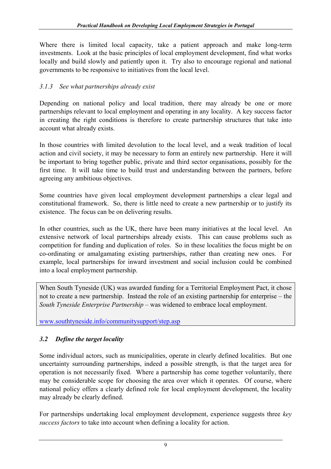Where there is limited local capacity, take a patient approach and make long-term investments. Look at the basic principles of local employment development, find what works locally and build slowly and patiently upon it. Try also to encourage regional and national governments to be responsive to initiatives from the local level.

# *3.1.3 See what partnerships already exist*

Depending on national policy and local tradition, there may already be one or more partnerships relevant to local employment and operating in any locality. A key success factor in creating the right conditions is therefore to create partnership structures that take into account what already exists.

In those countries with limited devolution to the local level, and a weak tradition of local action and civil society, it may be necessary to form an entirely new partnership. Here it will be important to bring together public, private and third sector organisations, possibly for the first time. It will take time to build trust and understanding between the partners, before agreeing any ambitious objectives.

Some countries have given local employment development partnerships a clear legal and constitutional framework. So, there is little need to create a new partnership or to justify its existence. The focus can be on delivering results.

In other countries, such as the UK, there have been many initiatives at the local level. An extensive network of local partnerships already exists. This can cause problems such as competition for funding and duplication of roles. So in these localities the focus might be on co-ordinating or amalgamating existing partnerships, rather than creating new ones. For example, local partnerships for inward investment and social inclusion could be combined into a local employment partnership.

When South Tyneside (UK) was awarded funding for a Territorial Employment Pact, it chose not to create a new partnership. Instead the role of an existing partnership for enterprise – the *South Tyneside Enterprise Partnership* – was widened to embrace local employment.

www.southtyneside.info/communitysupport/step.asp

# *3.2 Define the target locality*

Some individual actors, such as municipalities, operate in clearly defined localities. But one uncertainty surrounding partnerships, indeed a possible strength, is that the target area for operation is not necessarily fixed. Where a partnership has come together voluntarily, there may be considerable scope for choosing the area over which it operates. Of course, where national policy offers a clearly defined role for local employment development, the locality may already be clearly defined.

For partnerships undertaking local employment development, experience suggests three *key success factors* to take into account when defining a locality for action.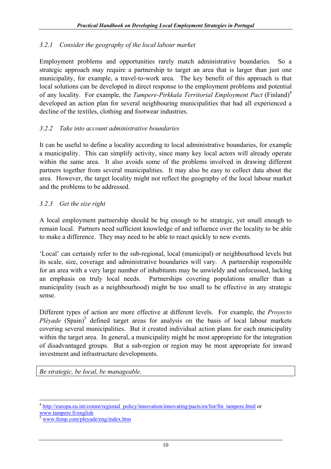# *3.2.1 Consider the geography of the local labour market*

Employment problems and opportunities rarely match administrative boundaries. So a strategic approach may require a partnership to target an area that is larger than just one municipality, for example, a travel-to-work area. The key benefit of this approach is that local solutions can be developed in direct response to the employment problems and potential of any locality. For example, the *Tampere-Pirkkala Territorial Employment Pact* (Finland)4 developed an action plan for several neighbouring municipalities that had all experienced a decline of the textiles, clothing and footwear industries.

# *3.2.2 Take into account administrative boundaries*

It can be useful to define a locality according to local administrative boundaries, for example a municipality. This can simplify activity, since many key local actors will already operate within the same area. It also avoids some of the problems involved in drawing different partners together from several municipalities. It may also be easy to collect data about the area. However, the target locality might not reflect the geography of the local labour market and the problems to be addressed.

## *3.2.3 Get the size right*

A local employment partnership should be big enough to be strategic, yet small enough to remain local. Partners need sufficient knowledge of and influence over the locality to be able to make a difference. They may need to be able to react quickly to new events.

'Local' can certainly refer to the sub-regional, local (municipal) or neighbourhood levels but its scale, size, coverage and administrative boundaries will vary. A partnership responsible for an area with a very large number of inhabitants may be unwieldy and unfocussed, lacking an emphasis on truly local needs. Partnerships covering populations smaller than a municipality (such as a neighbourhood) might be too small to be effective in any strategic sense.

Different types of action are more effective at different levels. For example, the *Proyecto*  Pléyade (Spain)<sup>5</sup> defined target areas for analysis on the basis of local labour markets covering several municipalities. But it created individual action plans for each municipality within the target area. In general, a municipality might be most appropriate for the integration of disadvantaged groups. But a sub-region or region may be most appropriate for inward investment and infrastructure developments.

*Be strategic, be local, be manageable.* 

 $\overline{a}$ <sup>4</sup> http://europa.eu.int/comm/regional\_policy/innovation/innovating/pacts/en/list/fin\_tampere.html or www.tampere.fi/english

www.femp.com/pleyade/eng/index.htm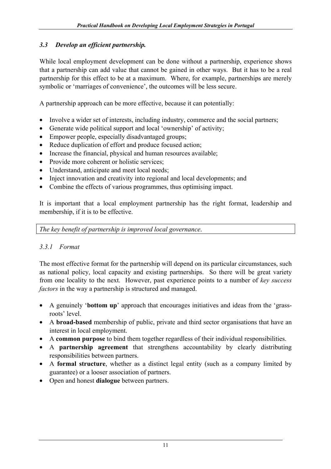# *3.3 Develop an efficient partnership.*

While local employment development can be done without a partnership, experience shows that a partnership can add value that cannot be gained in other ways. But it has to be a real partnership for this effect to be at a maximum. Where, for example, partnerships are merely symbolic or 'marriages of convenience', the outcomes will be less secure.

A partnership approach can be more effective, because it can potentially:

- Involve a wider set of interests, including industry, commerce and the social partners;
- Generate wide political support and local 'ownership' of activity;
- Empower people, especially disadvantaged groups;
- Reduce duplication of effort and produce focused action;
- Increase the financial, physical and human resources available;
- Provide more coherent or holistic services:
- Understand, anticipate and meet local needs;
- Inject innovation and creativity into regional and local developments; and
- Combine the effects of various programmes, thus optimising impact.

It is important that a local employment partnership has the right format, leadership and membership, if it is to be effective.

*The key benefit of partnership is improved local governance*.

## *3.3.1 Format*

The most effective format for the partnership will depend on its particular circumstances, such as national policy, local capacity and existing partnerships. So there will be great variety from one locality to the next. However, past experience points to a number of *key success factors* in the way a partnership is structured and managed.

- A genuinely '**bottom up**' approach that encourages initiatives and ideas from the 'grassroots' level.
- A **broad-based** membership of public, private and third sector organisations that have an interest in local employment.
- A **common purpose** to bind them together regardless of their individual responsibilities.
- A **partnership agreement** that strengthens accountability by clearly distributing responsibilities between partners.
- A **formal structure**, whether as a distinct legal entity (such as a company limited by guarantee) or a looser association of partners.
- Open and honest **dialogue** between partners.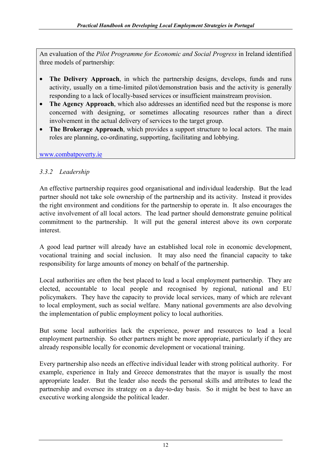An evaluation of the *Pilot Programme for Economic and Social Progress* in Ireland identified three models of partnership:

- **The Delivery Approach**, in which the partnership designs, develops, funds and runs activity, usually on a time-limited pilot/demonstration basis and the activity is generally responding to a lack of locally-based services or insufficient mainstream provision.
- **The Agency Approach**, which also addresses an identified need but the response is more concerned with designing, or sometimes allocating resources rather than a direct involvement in the actual delivery of services to the target group.
- **The Brokerage Approach**, which provides a support structure to local actors. The main roles are planning, co-ordinating, supporting, facilitating and lobbying.

www.combatpoverty.ie

## *3.3.2 Leadership*

An effective partnership requires good organisational and individual leadership. But the lead partner should not take sole ownership of the partnership and its activity. Instead it provides the right environment and conditions for the partnership to operate in. It also encourages the active involvement of all local actors. The lead partner should demonstrate genuine political commitment to the partnership. It will put the general interest above its own corporate interest.

A good lead partner will already have an established local role in economic development, vocational training and social inclusion. It may also need the financial capacity to take responsibility for large amounts of money on behalf of the partnership.

Local authorities are often the best placed to lead a local employment partnership. They are elected, accountable to local people and recognised by regional, national and EU policymakers. They have the capacity to provide local services, many of which are relevant to local employment, such as social welfare. Many national governments are also devolving the implementation of public employment policy to local authorities.

But some local authorities lack the experience, power and resources to lead a local employment partnership. So other partners might be more appropriate, particularly if they are already responsible locally for economic development or vocational training.

Every partnership also needs an effective individual leader with strong political authority. For example, experience in Italy and Greece demonstrates that the mayor is usually the most appropriate leader. But the leader also needs the personal skills and attributes to lead the partnership and oversee its strategy on a day-to-day basis. So it might be best to have an executive working alongside the political leader.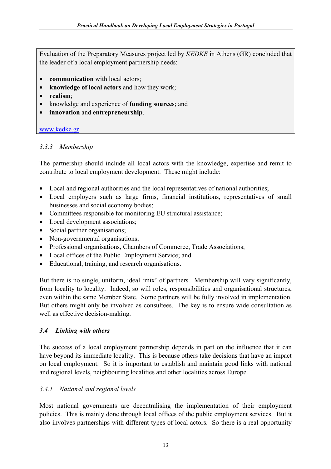Evaluation of the Preparatory Measures project led by *KEDKE* in Athens (GR) concluded that the leader of a local employment partnership needs:

- **communication** with local actors;
- **knowledge of local actors** and how they work;
- **realism**;
- knowledge and experience of **funding sources**; and
- **innovation** and **entrepreneurship**.

#### www.kedke.gr

## *3.3.3 Membership*

The partnership should include all local actors with the knowledge, expertise and remit to contribute to local employment development. These might include:

- Local and regional authorities and the local representatives of national authorities;
- Local employers such as large firms, financial institutions, representatives of small businesses and social economy bodies;
- Committees responsible for monitoring EU structural assistance;
- Local development associations;
- Social partner organisations;
- Non-governmental organisations;
- Professional organisations, Chambers of Commerce, Trade Associations;
- Local offices of the Public Employment Service; and
- Educational, training, and research organisations.

But there is no single, uniform, ideal 'mix' of partners. Membership will vary significantly, from locality to locality. Indeed, so will roles, responsibilities and organisational structures, even within the same Member State. Some partners will be fully involved in implementation. But others might only be involved as consultees. The key is to ensure wide consultation as well as effective decision-making.

## *3.4 Linking with others*

The success of a local employment partnership depends in part on the influence that it can have beyond its immediate locality. This is because others take decisions that have an impact on local employment. So it is important to establish and maintain good links with national and regional levels, neighbouring localities and other localities across Europe.

## *3.4.1 National and regional levels*

Most national governments are decentralising the implementation of their employment policies. This is mainly done through local offices of the public employment services. But it also involves partnerships with different types of local actors. So there is a real opportunity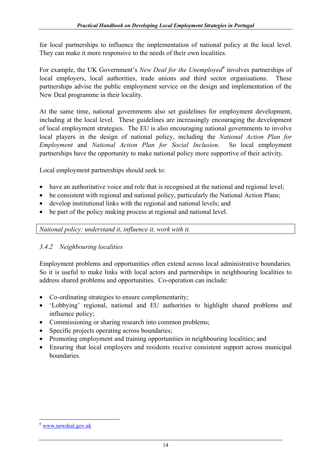for local partnerships to influence the implementation of national policy at the local level. They can make it more responsive to the needs of their own localities.

For example, the UK Government's *New Deal for the Unemployed* involves partnerships of local employers, local authorities, trade unions and third sector organisations. These partnerships advise the public employment service on the design and implementation of the New Deal programme in their locality.

At the same time, national governments also set guidelines for employment development, including at the local level. These guidelines are increasingly encouraging the development of local employment strategies. The EU is also encouraging national governments to involve local players in the design of national policy, including the *National Action Plan for Employment* and *National Action Plan for Social Inclusion*. So local employment partnerships have the opportunity to make national policy more supportive of their activity.

Local employment partnerships should seek to:

- have an authoritative voice and role that is recognised at the national and regional level;
- be consistent with regional and national policy, particularly the National Action Plans;
- develop institutional links with the regional and national levels; and
- be part of the policy making process at regional and national level.

*National policy: understand it, influence it, work with it.* 

## *3.4.2 Neighbouring localities*

Employment problems and opportunities often extend across local administrative boundaries. So it is useful to make links with local actors and partnerships in neighbouring localities to address shared problems and opportunities. Co-operation can include:

- Co-ordinating strategies to ensure complementarity;
- 'Lobbying' regional, national and EU authorities to highlight shared problems and influence policy;
- Commissioning or sharing research into common problems;
- Specific projects operating across boundaries;
- Promoting employment and training opportunities in neighbouring localities; and
- Ensuring that local employers and residents receive consistent support across municipal boundaries.

 $\overline{a}$ 

<sup>6</sup> www.newdeal.gov.uk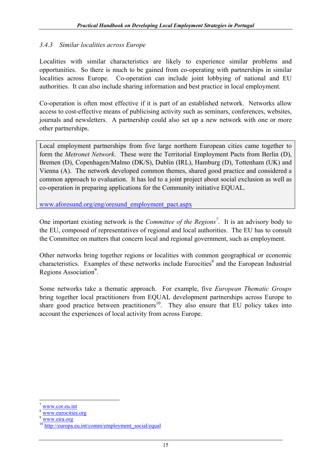#### *3.4.3 Similar localities across Europe*

Localities with similar characteristics are likely to experience similar problems and opportunities. So there is much to be gained from co-operating with partnerships in similar localities across Europe. Co-operation can include joint lobbying of national and EU authorities. It can also include sharing information and best practice in local employment.

Co-operation is often most effective if it is part of an established network. Networks allow access to cost-effective means of publicising activity such as seminars, conferences, websites, journals and newsletters. A partnership could also set up a new network with one or more other partnerships.

Local employment partnerships from five large northern European cities came together to form the *Metronet Network*. These were the Territorial Employment Pacts from Berlin (D), Bremen (D), Copenhagen/Malmo (DK/S), Dublin (IRL), Hamburg (D), Tottenham (UK) and Vienna (A). The network developed common themes, shared good practice and considered a common approach to evaluation. It has led to a joint project about social exclusion as well as co-operation in preparing applications for the Community initiative EQUAL.

www.aforesund.org/eng/oresund\_employment\_pact.aspx

One important existing network is the *Committee of the Regions<sup>7</sup>*. It is an advisory body to the EU, composed of representatives of regional and local authorities. The EU has to consult the Committee on matters that concern local and regional government, such as employment.

Other networks bring together regions or localities with common geographical or economic characteristics. Examples of these networks include Eurocities<sup>8</sup> and the European Industrial Regions Association<sup>9</sup>.

Some networks take a thematic approach. For example, five *European Thematic Groups* bring together local practitioners from EQUAL development partnerships across Europe to share good practice between practitioners<sup>10</sup>. They also ensure that EU policy takes into account the experiences of local activity from across Europe.

 $\overline{a}$ 

www.cor.eu.int

www.eurocities.org

<sup>9</sup> www.eira.org

http://europa.eu.int/comm/employment\_social/equal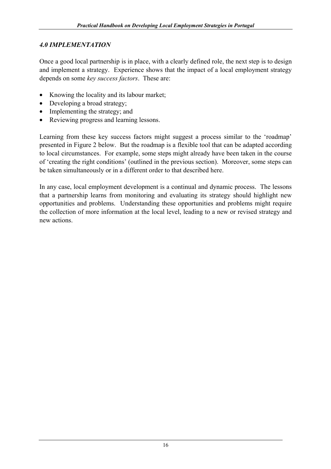# *4.0 IMPLEMENTATION*

Once a good local partnership is in place, with a clearly defined role, the next step is to design and implement a strategy. Experience shows that the impact of a local employment strategy depends on some *key success factors*. These are:

- Knowing the locality and its labour market;
- Developing a broad strategy:
- Implementing the strategy; and
- Reviewing progress and learning lessons.

Learning from these key success factors might suggest a process similar to the 'roadmap' presented in Figure 2 below. But the roadmap is a flexible tool that can be adapted according to local circumstances. For example, some steps might already have been taken in the course of 'creating the right conditions' (outlined in the previous section). Moreover, some steps can be taken simultaneously or in a different order to that described here.

In any case, local employment development is a continual and dynamic process. The lessons that a partnership learns from monitoring and evaluating its strategy should highlight new opportunities and problems. Understanding these opportunities and problems might require the collection of more information at the local level, leading to a new or revised strategy and new actions.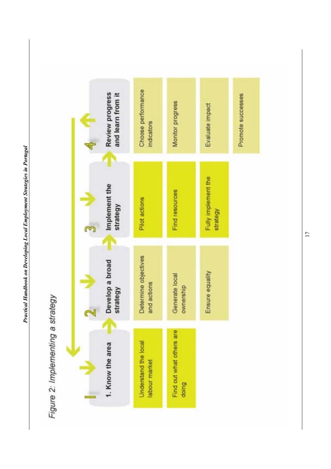

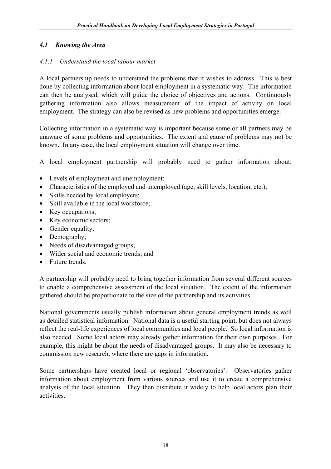# *4.1 Knowing the Area*

# *4.1.1 Understand the local labour market*

A local partnership needs to understand the problems that it wishes to address. This is best done by collecting information about local employment in a systematic way. The information can then be analysed, which will guide the choice of objectives and actions. Continuously gathering information also allows measurement of the impact of activity on local employment. The strategy can also be revised as new problems and opportunities emerge.

Collecting information in a systematic way is important because some or all partners may be unaware of some problems and opportunities. The extent and cause of problems may not be known. In any case, the local employment situation will change over time.

A local employment partnership will probably need to gather information about:

- Levels of employment and unemployment;
- Characteristics of the employed and unemployed (age, skill levels, location, etc.);
- Skills needed by local employers;
- Skill available in the local workforce;
- Key occupations;
- Key economic sectors;
- Gender equality;
- Demography;
- Needs of disadvantaged groups;
- Wider social and economic trends; and
- Future trends.

A partnership will probably need to bring together information from several different sources to enable a comprehensive assessment of the local situation. The extent of the information gathered should be proportionate to the size of the partnership and its activities.

National governments usually publish information about general employment trends as well as detailed statistical information. National data is a useful starting point, but does not always reflect the real-life experiences of local communities and local people. So local information is also needed. Some local actors may already gather information for their own purposes. For example, this might be about the needs of disadvantaged groups. It may also be necessary to commission new research, where there are gaps in information.

Some partnerships have created local or regional 'observatories'. Observatories gather information about employment from various sources and use it to create a comprehensive analysis of the local situation. They then distribute it widely to help local actors plan their activities.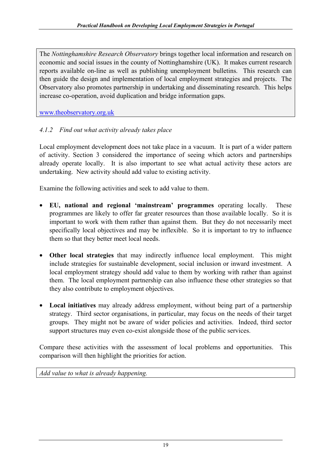The *Nottinghamshire Research Observatory* brings together local information and research on economic and social issues in the county of Nottinghamshire (UK). It makes current research reports available on-line as well as publishing unemployment bulletins. This research can then guide the design and implementation of local employment strategies and projects. The Observatory also promotes partnership in undertaking and disseminating research. This helps increase co-operation, avoid duplication and bridge information gaps.

www.theobservatory.org.uk

# *4.1.2 Find out what activity already takes place*

Local employment development does not take place in a vacuum. It is part of a wider pattern of activity. Section 3 considered the importance of seeing which actors and partnerships already operate locally. It is also important to see what actual activity these actors are undertaking. New activity should add value to existing activity.

Examine the following activities and seek to add value to them.

- **EU, national and regional 'mainstream' programmes** operating locally. These programmes are likely to offer far greater resources than those available locally. So it is important to work with them rather than against them. But they do not necessarily meet specifically local objectives and may be inflexible. So it is important to try to influence them so that they better meet local needs.
- **Other local strategies** that may indirectly influence local employment. This might include strategies for sustainable development, social inclusion or inward investment. A local employment strategy should add value to them by working with rather than against them. The local employment partnership can also influence these other strategies so that they also contribute to employment objectives.
- **Local initiatives** may already address employment, without being part of a partnership strategy. Third sector organisations, in particular, may focus on the needs of their target groups. They might not be aware of wider policies and activities. Indeed, third sector support structures may even co-exist alongside those of the public services.

Compare these activities with the assessment of local problems and opportunities. This comparison will then highlight the priorities for action.

*Add value to what is already happening.*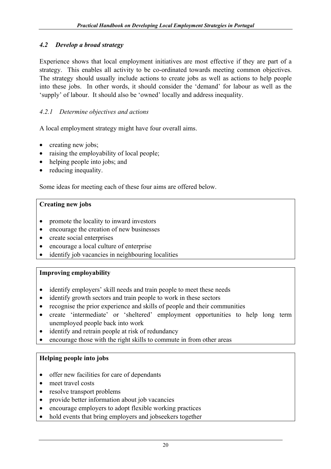## *4.2 Develop a broad strategy*

Experience shows that local employment initiatives are most effective if they are part of a strategy. This enables all activity to be co-ordinated towards meeting common objectives. The strategy should usually include actions to create jobs as well as actions to help people into these jobs. In other words, it should consider the 'demand' for labour as well as the 'supply' of labour. It should also be 'owned' locally and address inequality.

# *4.2.1 Determine objectives and actions*

A local employment strategy might have four overall aims.

- creating new jobs;
- raising the employability of local people;
- helping people into jobs; and
- reducing inequality.

Some ideas for meeting each of these four aims are offered below.

#### **Creating new jobs**

- promote the locality to inward investors
- encourage the creation of new businesses
- create social enterprises
- encourage a local culture of enterprise
- identify job vacancies in neighbouring localities

#### **Improving employability**

- identify employers' skill needs and train people to meet these needs
- identify growth sectors and train people to work in these sectors
- recognise the prior experience and skills of people and their communities
- create 'intermediate' or 'sheltered' employment opportunities to help long term unemployed people back into work
- identify and retrain people at risk of redundancy
- encourage those with the right skills to commute in from other areas

#### **Helping people into jobs**

- offer new facilities for care of dependants
- meet travel costs
- resolve transport problems
- provide better information about job vacancies
- encourage employers to adopt flexible working practices
- hold events that bring employers and jobseekers together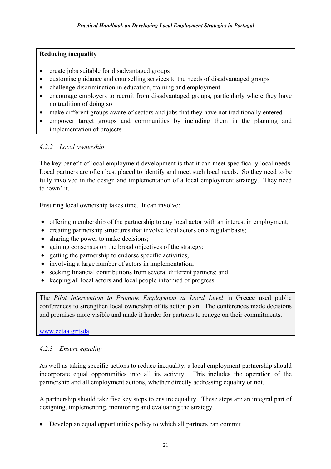#### **Reducing inequality**

- create jobs suitable for disadvantaged groups
- customise guidance and counselling services to the needs of disadvantaged groups
- challenge discrimination in education, training and employment
- encourage employers to recruit from disadvantaged groups, particularly where they have no tradition of doing so
- make different groups aware of sectors and jobs that they have not traditionally entered
- empower target groups and communities by including them in the planning and implementation of projects

#### *4.2.2 Local ownership*

The key benefit of local employment development is that it can meet specifically local needs. Local partners are often best placed to identify and meet such local needs. So they need to be fully involved in the design and implementation of a local employment strategy. They need to 'own' it.

Ensuring local ownership takes time. It can involve:

- offering membership of the partnership to any local actor with an interest in employment;
- creating partnership structures that involve local actors on a regular basis;
- sharing the power to make decisions;
- gaining consensus on the broad objectives of the strategy;
- getting the partnership to endorse specific activities;
- involving a large number of actors in implementation;
- seeking financial contributions from several different partners; and
- keeping all local actors and local people informed of progress.

The *Pilot Intervention to Promote Employment at Local Level* in Greece used public conferences to strengthen local ownership of its action plan. The conferences made decisions and promises more visible and made it harder for partners to renege on their commitments.

www.eetaa.gr/tsda

#### *4.2.3 Ensure equality*

As well as taking specific actions to reduce inequality, a local employment partnership should incorporate equal opportunities into all its activity. This includes the operation of the partnership and all employment actions, whether directly addressing equality or not.

A partnership should take five key steps to ensure equality. These steps are an integral part of designing, implementing, monitoring and evaluating the strategy.

• Develop an equal opportunities policy to which all partners can commit.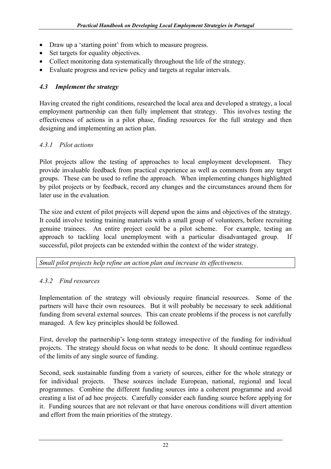- Draw up a 'starting point' from which to measure progress.
- Set targets for equality objectives.
- Collect monitoring data systematically throughout the life of the strategy.
- Evaluate progress and review policy and targets at regular intervals.

# *4.3 Implement the strategy*

Having created the right conditions, researched the local area and developed a strategy, a local employment partnership can then fully implement that strategy. This involves testing the effectiveness of actions in a pilot phase, finding resources for the full strategy and then designing and implementing an action plan.

# *4.3.1 Pilot actions*

Pilot projects allow the testing of approaches to local employment development. They provide invaluable feedback from practical experience as well as comments from any target groups. These can be used to refine the approach. When implementing changes highlighted by pilot projects or by feedback, record any changes and the circumstances around them for later use in the evaluation.

The size and extent of pilot projects will depend upon the aims and objectives of the strategy. It could involve testing training materials with a small group of volunteers, before recruiting genuine trainees. An entire project could be a pilot scheme. For example, testing an approach to tackling local unemployment with a particular disadvantaged group. If successful, pilot projects can be extended within the context of the wider strategy.

*Small pilot projects help refine an action plan and increase its effectiveness.*

# *4.3.2 Find resources*

Implementation of the strategy will obviously require financial resources. Some of the partners will have their own resources. But it will probably be necessary to seek additional funding from several external sources. This can create problems if the process is not carefully managed. A few key principles should be followed.

First, develop the partnership's long-term strategy irrespective of the funding for individual projects. The strategy should focus on what needs to be done. It should continue regardless of the limits of any single source of funding.

Second, seek sustainable funding from a variety of sources, either for the whole strategy or for individual projects. These sources include European, national, regional and local programmes. Combine the different funding sources into a coherent programme and avoid creating a list of ad hoc projects. Carefully consider each funding source before applying for it. Funding sources that are not relevant or that have onerous conditions will divert attention and effort from the main priorities of the strategy.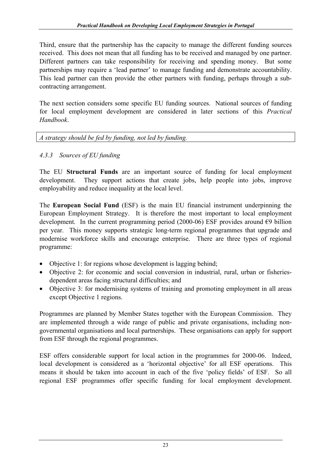Third, ensure that the partnership has the capacity to manage the different funding sources received. This does not mean that all funding has to be received and managed by one partner. Different partners can take responsibility for receiving and spending money. But some partnerships may require a 'lead partner' to manage funding and demonstrate accountability. This lead partner can then provide the other partners with funding, perhaps through a subcontracting arrangement.

The next section considers some specific EU funding sources. National sources of funding for local employment development are considered in later sections of this *Practical Handbook*.

*A strategy should be fed by funding, not led by funding.* 

# *4.3.3 Sources of EU funding*

The EU **Structural Funds** are an important source of funding for local employment development. They support actions that create jobs, help people into jobs, improve employability and reduce inequality at the local level.

The **European Social Fund** (ESF) is the main EU financial instrument underpinning the European Employment Strategy. It is therefore the most important to local employment development. In the current programming period (2000-06) ESF provides around  $\epsilon$ 9 billion per year. This money supports strategic long-term regional programmes that upgrade and modernise workforce skills and encourage enterprise. There are three types of regional programme:

- Objective 1: for regions whose development is lagging behind;
- Objective 2: for economic and social conversion in industrial, rural, urban or fisheriesdependent areas facing structural difficulties; and
- Objective 3: for modernising systems of training and promoting employment in all areas except Objective 1 regions.

Programmes are planned by Member States together with the European Commission. They are implemented through a wide range of public and private organisations, including nongovernmental organisations and local partnerships. These organisations can apply for support from ESF through the regional programmes.

ESF offers considerable support for local action in the programmes for 2000-06. Indeed, local development is considered as a 'horizontal objective' for all ESF operations. This means it should be taken into account in each of the five 'policy fields' of ESF. So all regional ESF programmes offer specific funding for local employment development.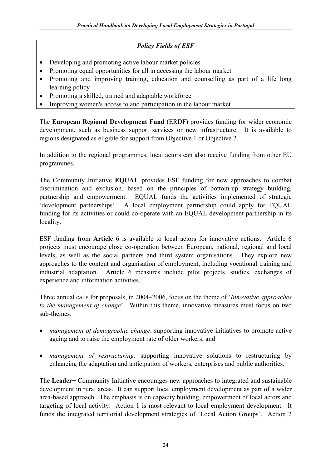## *Policy Fields of ESF*

- Developing and promoting active labour market policies
- Promoting equal opportunities for all in accessing the labour market
- Promoting and improving training, education and counselling as part of a life long learning policy
- Promoting a skilled, trained and adaptable workforce
- Improving women's access to and participation in the labour market

The **European Regional Development Fund** (ERDF) provides funding for wider economic development, such as business support services or new infrastructure. It is available to regions designated as eligible for support from Objective 1 or Objective 2.

In addition to the regional programmes, local actors can also receive funding from other EU programmes.

The Community Initiative **EQUAL** provides ESF funding for new approaches to combat discrimination and exclusion, based on the principles of bottom-up strategy building, partnership and empowerment. EQUAL funds the activities implemented of strategic 'development partnerships'. A local employment partnership could apply for EQUAL funding for its activities or could co-operate with an EQUAL development partnership in its locality.

ESF funding from **Article 6** is available to local actors for innovative actions. Article 6 projects must encourage close co-operation between European, national, regional and local levels, as well as the social partners and third system organisations. They explore new approaches to the content and organisation of employment, including vocational training and industrial adaptation. Article 6 measures include pilot projects, studies, exchanges of experience and information activities.

Three annual calls for proposals, in 2004–2006, focus on the theme of '*Innovative approaches to the management of change*'. Within this theme, innovative measures must focus on two sub-themes:

- *management of demographic change*: supporting innovative initiatives to promote active ageing and to raise the employment rate of older workers; and
- *management of restructuring*: supporting innovative solutions to restructuring by enhancing the adaptation and anticipation of workers, enterprises and public authorities.

The **Leader+** Community Initiative encourages new approaches to integrated and sustainable development in rural areas. It can support local employment development as part of a wider area-based approach. The emphasis is on capacity building, empowerment of local actors and targeting of local activity. Action 1 is most relevant to local employment development. It funds the integrated territorial development strategies of 'Local Action Groups'. Action 2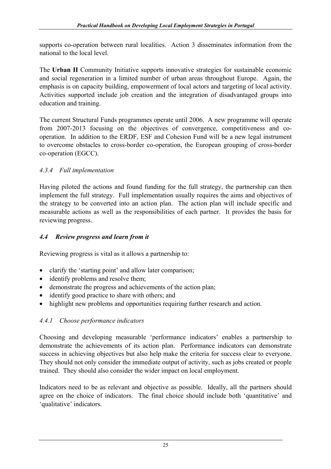supports co-operation between rural localities. Action 3 disseminates information from the national to the local level.

The **Urban II** Community Initiative supports innovative strategies for sustainable economic and social regeneration in a limited number of urban areas throughout Europe. Again, the emphasis is on capacity building, empowerment of local actors and targeting of local activity. Activities supported include job creation and the integration of disadvantaged groups into education and training.

The current Structural Funds programmes operate until 2006. A new programme will operate from 2007-2013 focusing on the objectives of convergence, competitiveness and cooperation. In addition to the ERDF, ESF and Cohesion Fund will be a new legal instrument to overcome obstacles to cross-border co-operation, the European grouping of cross-border co-operation (EGCC).

# *4.3.4 Full implementation*

Having piloted the actions and found funding for the full strategy, the partnership can then implement the full strategy. Full implementation usually requires the aims and objectives of the strategy to be converted into an action plan. The action plan will include specific and measurable actions as well as the responsibilities of each partner. It provides the basis for reviewing progress.

## *4.4 Review progress and learn from it*

Reviewing progress is vital as it allows a partnership to:

- clarify the 'starting point' and allow later comparison;
- identify problems and resolve them;
- demonstrate the progress and achievements of the action plan;
- identify good practice to share with others; and
- highlight new problems and opportunities requiring further research and action.

# *4.4.1 Choose performance indicators*

Choosing and developing measurable 'performance indicators' enables a partnership to demonstrate the achievements of its action plan. Performance indicators can demonstrate success in achieving objectives but also help make the criteria for success clear to everyone. They should not only consider the immediate output of activity, such as jobs created or people trained. They should also consider the wider impact on local employment.

Indicators need to be as relevant and objective as possible. Ideally, all the partners should agree on the choice of indicators. The final choice should include both 'quantitative' and 'qualitative' indicators.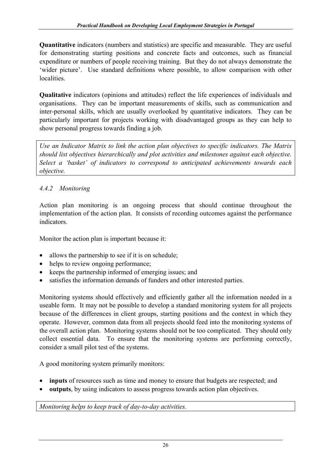**Quantitative** indicators (numbers and statistics) are specific and measurable. They are useful for demonstrating starting positions and concrete facts and outcomes, such as financial expenditure or numbers of people receiving training. But they do not always demonstrate the 'wider picture'. Use standard definitions where possible, to allow comparison with other localities.

**Qualitative** indicators (opinions and attitudes) reflect the life experiences of individuals and organisations. They can be important measurements of skills, such as communication and inter-personal skills, which are usually overlooked by quantitative indicators. They can be particularly important for projects working with disadvantaged groups as they can help to show personal progress towards finding a job.

*Use an Indicator Matrix to link the action plan objectives to specific indicators. The Matrix should list objectives hierarchically and plot activities and milestones against each objective. Select a 'basket' of indicators to correspond to anticipated achievements towards each objective.* 

# *4.4.2 Monitoring*

Action plan monitoring is an ongoing process that should continue throughout the implementation of the action plan. It consists of recording outcomes against the performance indicators.

Monitor the action plan is important because it:

- allows the partnership to see if it is on schedule;
- helps to review ongoing performance;
- keeps the partnership informed of emerging issues; and
- satisfies the information demands of funders and other interested parties.

Monitoring systems should effectively and efficiently gather all the information needed in a useable form. It may not be possible to develop a standard monitoring system for all projects because of the differences in client groups, starting positions and the context in which they operate. However, common data from all projects should feed into the monitoring systems of the overall action plan. Monitoring systems should not be too complicated. They should only collect essential data. To ensure that the monitoring systems are performing correctly, consider a small pilot test of the systems.

A good monitoring system primarily monitors:

- **inputs** of resources such as time and money to ensure that budgets are respected; and
- **outputs**, by using indicators to assess progress towards action plan objectives.

*Monitoring helps to keep track of day-to-day activities.*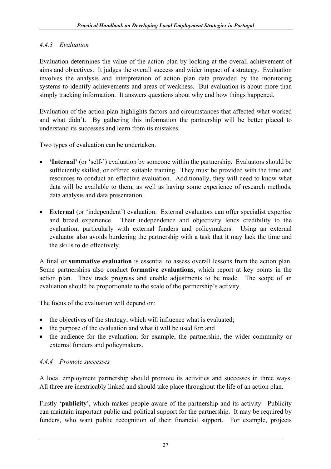# *4.4.3 Evaluation*

Evaluation determines the value of the action plan by looking at the overall achievement of aims and objectives. It judges the overall success and wider impact of a strategy. Evaluation involves the analysis and interpretation of action plan data provided by the monitoring systems to identify achievements and areas of weakness. But evaluation is about more than simply tracking information. It answers questions about why and how things happened.

Evaluation of the action plan highlights factors and circumstances that affected what worked and what didn't. By gathering this information the partnership will be better placed to understand its successes and learn from its mistakes.

Two types of evaluation can be undertaken.

- **'Internal'** (or 'self-') evaluation by someone within the partnership. Evaluators should be sufficiently skilled, or offered suitable training. They must be provided with the time and resources to conduct an effective evaluation. Additionally, they will need to know what data will be available to them, as well as having some experience of research methods, data analysis and data presentation.
- **External** (or 'independent') evaluation. External evaluators can offer specialist expertise and broad experience. Their independence and objectivity lends credibility to the evaluation, particularly with external funders and policymakers. Using an external evaluator also avoids burdening the partnership with a task that it may lack the time and the skills to do effectively.

A final or **summative evaluation** is essential to assess overall lessons from the action plan. Some partnerships also conduct **formative evaluations**, which report at key points in the action plan. They track progress and enable adjustments to be made. The scope of an evaluation should be proportionate to the scale of the partnership's activity.

The focus of the evaluation will depend on:

- the objectives of the strategy, which will influence what is evaluated;
- the purpose of the evaluation and what it will be used for; and
- the audience for the evaluation; for example, the partnership, the wider community or external funders and policymakers.

# *4.4.4 Promote successes*

A local employment partnership should promote its activities and successes in three ways. All three are inextricably linked and should take place throughout the life of an action plan.

Firstly '**publicity**', which makes people aware of the partnership and its activity. Publicity can maintain important public and political support for the partnership. It may be required by funders, who want public recognition of their financial support. For example, projects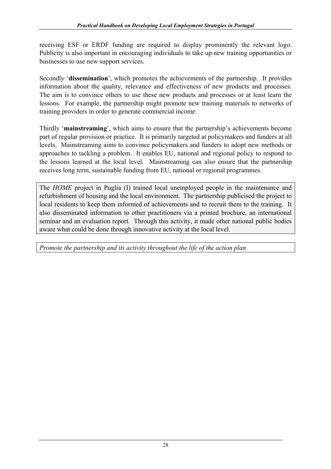receiving ESF or ERDF funding are required to display prominently the relevant logo. Publicity is also important in encouraging individuals to take up new training opportunities or businesses to use new support services.

Secondly '**dissemination**', which promotes the achievements of the partnership. It provides information about the quality, relevance and effectiveness of new products and processes. The aim is to convince others to use these new products and processes or at least learn the lessons. For example, the partnership might promote new training materials to networks of training providers in order to generate commercial income.

Thirdly '**mainstreaming**', which aims to ensure that the partnership's achievements become part of regular provision or practice. It is primarily targeted at policymakers and funders at all levels. Mainstreaming aims to convince policymakers and funders to adopt new methods or approaches to tackling a problem. It enables EU, national and regional policy to respond to the lessons learned at the local level. Mainstreaming can also ensure that the partnership receives long term, sustainable funding from EU, national or regional programmes.

The *HOME* project in Puglia (I) trained local unemployed people in the maintenance and refurbishment of housing and the local environment. The partnership publicised the project to local residents to keep them informed of achievements and to recruit them to the training. It also disseminated information to other practitioners via a printed brochure, an international seminar and an evaluation report. Through this activity, it made other national public bodies aware what could be done through innovative activity at the local level.

*Promote the partnership and its activity throughout the life of the action plan.*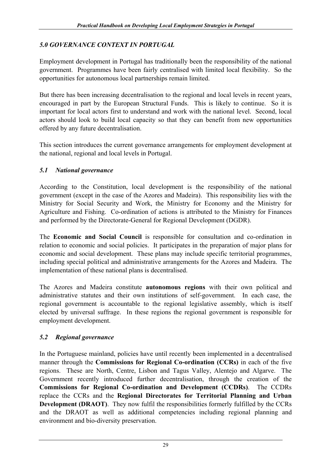# *5.0 GOVERNANCE CONTEXT IN PORTUGAL*

Employment development in Portugal has traditionally been the responsibility of the national government. Programmes have been fairly centralised with limited local flexibility. So the opportunities for autonomous local partnerships remain limited.

But there has been increasing decentralisation to the regional and local levels in recent years, encouraged in part by the European Structural Funds. This is likely to continue. So it is important for local actors first to understand and work with the national level. Second, local actors should look to build local capacity so that they can benefit from new opportunities offered by any future decentralisation.

This section introduces the current governance arrangements for employment development at the national, regional and local levels in Portugal.

# *5.1 National governance*

According to the Constitution, local development is the responsibility of the national government (except in the case of the Azores and Madeira). This responsibility lies with the Ministry for Social Security and Work, the Ministry for Economy and the Ministry for Agriculture and Fishing. Co-ordination of actions is attributed to the Ministry for Finances and performed by the Directorate-General for Regional Development (DGDR).

The **Economic and Social Council** is responsible for consultation and co-ordination in relation to economic and social policies. It participates in the preparation of major plans for economic and social development. These plans may include specific territorial programmes, including special political and administrative arrangements for the Azores and Madeira. The implementation of these national plans is decentralised.

The Azores and Madeira constitute **autonomous regions** with their own political and administrative statutes and their own institutions of self-government. In each case, the regional government is accountable to the regional legislative assembly, which is itself elected by universal suffrage. In these regions the regional government is responsible for employment development.

# *5.2 Regional governance*

In the Portuguese mainland, policies have until recently been implemented in a decentralised manner through the **Commissions for Regional Co-ordination (CCRs)** in each of the five regions. These are North, Centre, Lisbon and Tagus Valley, Alentejo and Algarve. The Government recently introduced further decentralisation, through the creation of the **Commissions for Regional Co-ordination and Development (CCDRs)**. The CCDRs replace the CCRs and the **Regional Directorates for Territorial Planning and Urban Development (DRAOT)**.They now fulfil the responsibilities formerly fulfilled by the CCRs and the DRAOT as well as additional competencies including regional planning and environment and bio-diversity preservation.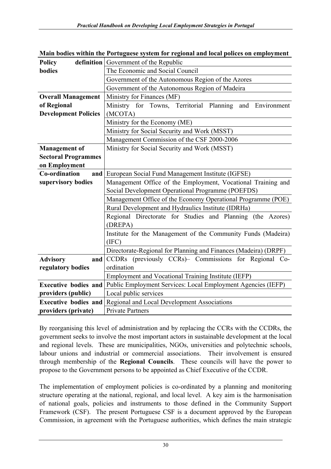| <b>Policy</b>               | <b>definition</b> Government of the Republic                                             |  |  |
|-----------------------------|------------------------------------------------------------------------------------------|--|--|
| bodies                      | The Economic and Social Council                                                          |  |  |
|                             | Government of the Autonomous Region of the Azores                                        |  |  |
|                             | Government of the Autonomous Region of Madeira                                           |  |  |
| <b>Overall Management</b>   | Ministry for Finances (MF)                                                               |  |  |
| of Regional                 | Ministry for Towns, Territorial Planning<br>and Environment                              |  |  |
| <b>Development Policies</b> | (MCOTA)                                                                                  |  |  |
|                             | Ministry for the Economy (ME)                                                            |  |  |
|                             | Ministry for Social Security and Work (MSST)                                             |  |  |
|                             | Management Commission of the CSF 2000-2006                                               |  |  |
| <b>Management of</b>        | Ministry for Social Security and Work (MSST)                                             |  |  |
| <b>Sectoral Programmes</b>  |                                                                                          |  |  |
| on Employment               |                                                                                          |  |  |
| Co-ordination               | and European Social Fund Management Institute (IGFSE)                                    |  |  |
| supervisory bodies          | Management Office of the Employment, Vocational Training and                             |  |  |
|                             | Social Development Operational Programme (POEFDS)                                        |  |  |
|                             | Management Office of the Economy Operational Programme (POE)                             |  |  |
|                             | Rural Development and Hydraulics Institute (IDRHa)                                       |  |  |
|                             | Regional Directorate for Studies and Planning (the Azores)                               |  |  |
|                             | (DREPA)                                                                                  |  |  |
|                             | Institute for the Management of the Community Funds (Madeira)                            |  |  |
|                             | (IFC)                                                                                    |  |  |
|                             | Directorate-Regional for Planning and Finances (Madeira) (DRPF)                          |  |  |
| <b>Advisory</b>             | CCDRs (previously CCRs)- Commissions for Regional Co-<br>and                             |  |  |
| regulatory bodies           | ordination                                                                               |  |  |
|                             | Employment and Vocational Training Institute (IEFP)                                      |  |  |
|                             | <b>Executive bodies and Public Employment Services: Local Employment Agencies (IEFP)</b> |  |  |
| providers (public)          | Local public services                                                                    |  |  |
| <b>Executive bodies and</b> | Regional and Local Development Associations                                              |  |  |
| providers (private)         | <b>Private Partners</b>                                                                  |  |  |

**Main bodies within the Portuguese system for regional and local polices on employment** 

By reorganising this level of administration and by replacing the CCRs with the CCDRs, the government seeks to involve the most important actors in sustainable development at the local and regional levels. These are municipalities, NGOs, universities and polytechnic schools, labour unions and industrial or commercial associations. Their involvement is ensured through membership of the **Regional Councils**. These councils will have the power to propose to the Government persons to be appointed as Chief Executive of the CCDR.

The implementation of employment policies is co-ordinated by a planning and monitoring structure operating at the national, regional, and local level. A key aim is the harmonisation of national goals, policies and instruments to those defined in the Community Support Framework (CSF). The present Portuguese CSF is a document approved by the European Commission, in agreement with the Portuguese authorities, which defines the main strategic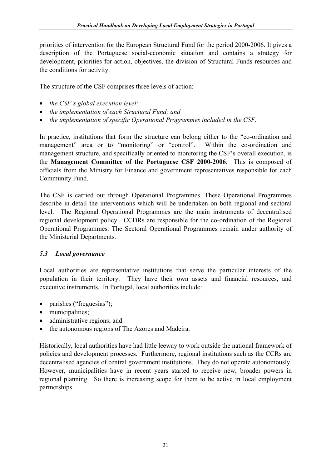priorities of intervention for the European Structural Fund for the period 2000-2006. It gives a description of the Portuguese social-economic situation and contains a strategy for development, priorities for action, objectives, the division of Structural Funds resources and the conditions for activity.

The structure of the CSF comprises three levels of action:

- *the CSF's global execution level;*
- *the implementation of each Structural Fund; and*
- *the implementation of specific Operational Programmes included in the CSF.*

In practice, institutions that form the structure can belong either to the "co-ordination and management" area or to "monitoring" or "control". Within the co-ordination and management structure, and specifically oriented to monitoring the CSF's overall execution, is the **Management Committee of the Portuguese CSF 2000-2006**. This is composed of officials from the Ministry for Finance and government representatives responsible for each Community Fund.

The CSF is carried out through Operational Programmes. These Operational Programmes describe in detail the interventions which will be undertaken on both regional and sectoral level. The Regional Operational Programmes are the main instruments of decentralised regional development policy. CCDRs are responsible for the co-ordination of the Regional Operational Programmes. The Sectoral Operational Programmes remain under authority of the Ministerial Departments.

# *5.3 Local governance*

Local authorities are representative institutions that serve the particular interests of the population in their territory. They have their own assets and financial resources, and executive instruments. In Portugal, local authorities include:

- parishes ("freguesias");
- municipalities;
- administrative regions; and
- the autonomous regions of The Azores and Madeira.

Historically, local authorities have had little leeway to work outside the national framework of policies and development processes. Furthermore, regional institutions such as the CCRs are decentralised agencies of central government institutions. They do not operate autonomously. However, municipalities have in recent years started to receive new, broader powers in regional planning. So there is increasing scope for them to be active in local employment partnerships.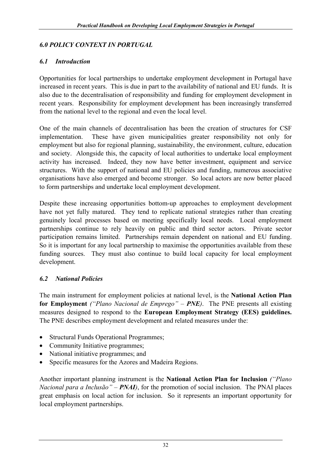## *6.0 POLICY CONTEXT IN PORTUGAL*

#### *6.1 Introduction*

Opportunities for local partnerships to undertake employment development in Portugal have increased in recent years. This is due in part to the availability of national and EU funds. It is also due to the decentralisation of responsibility and funding for employment development in recent years. Responsibility for employment development has been increasingly transferred from the national level to the regional and even the local level.

One of the main channels of decentralisation has been the creation of structures for CSF implementation. These have given municipalities greater responsibility not only for employment but also for regional planning, sustainability, the environment, culture, education and society. Alongside this, the capacity of local authorities to undertake local employment activity has increased. Indeed, they now have better investment, equipment and service structures. With the support of national and EU policies and funding, numerous associative organisations have also emerged and become stronger. So local actors are now better placed to form partnerships and undertake local employment development.

Despite these increasing opportunities bottom-up approaches to employment development have not yet fully matured. They tend to replicate national strategies rather than creating genuinely local processes based on meeting specifically local needs. Local employment partnerships continue to rely heavily on public and third sector actors. Private sector participation remains limited. Partnerships remain dependent on national and EU funding. So it is important for any local partnership to maximise the opportunities available from these funding sources. They must also continue to build local capacity for local employment development.

#### *6.2 National Policies*

The main instrument for employment policies at national level, is the **National Action Plan for Employment** *("Plano Nacional de Emprego" – PNE)*. The PNE presents all existing measures designed to respond to the **European Employment Strategy (EES) guidelines.**  The PNE describes employment development and related measures under the:

- Structural Funds Operational Programmes;
- Community Initiative programmes;
- National initiative programmes; and
- Specific measures for the Azores and Madeira Regions.

Another important planning instrument is the **National Action Plan for Inclusion** *("Plano Nacional para a Inclusão" – PNAI*), for the promotion of social inclusion. The PNAI places great emphasis on local action for inclusion. So it represents an important opportunity for local employment partnerships.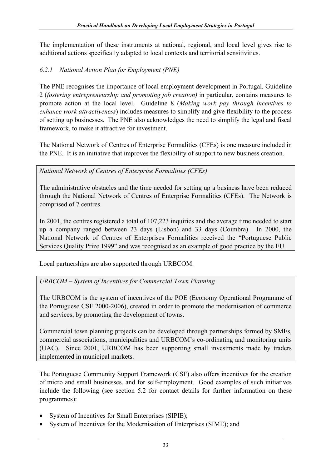The implementation of these instruments at national, regional, and local level gives rise to additional actions specifically adapted to local contexts and territorial sensitivities.

# *6.2.1 National Action Plan for Employment (PNE)*

The PNE recognises the importance of local employment development in Portugal. Guideline 2 (*fostering entrepreneurship and promoting job creation)* in particular, contains measures to promote action at the local level. Guideline 8 (*Making work pay through incentives to enhance work attractiveness*) includes measures to simplify and give flexibility to the process of setting up businesses. The PNE also acknowledges the need to simplify the legal and fiscal framework, to make it attractive for investment.

The National Network of Centres of Enterprise Formalities (CFEs) is one measure included in the PNE. It is an initiative that improves the flexibility of support to new business creation.

*National Network of Centres of Enterprise Formalities (CFEs)* 

The administrative obstacles and the time needed for setting up a business have been reduced through the National Network of Centres of Enterprise Formalities (CFEs). The Network is comprised of 7 centres.

In 2001, the centres registered a total of 107,223 inquiries and the average time needed to start up a company ranged between 23 days (Lisbon) and 33 days (Coimbra). In 2000, the National Network of Centres of Enterprises Formalities received the "Portuguese Public Services Quality Prize 1999" and was recognised as an example of good practice by the EU.

Local partnerships are also supported through URBCOM.

*URBCOM – System of Incentives for Commercial Town Planning* 

The URBCOM is the system of incentives of the POE (Economy Operational Programme of the Portuguese CSF 2000-2006), created in order to promote the modernisation of commerce and services, by promoting the development of towns.

Commercial town planning projects can be developed through partnerships formed by SMEs, commercial associations, municipalities and URBCOM's co-ordinating and monitoring units (UAC). Since 2001, URBCOM has been supporting small investments made by traders implemented in municipal markets.

The Portuguese Community Support Framework (CSF) also offers incentives for the creation of micro and small businesses, and for self-employment. Good examples of such initiatives include the following (see section 5.2 for contact details for further information on these programmes):

- System of Incentives for Small Enterprises (SIPIE);
- System of Incentives for the Modernisation of Enterprises (SIME); and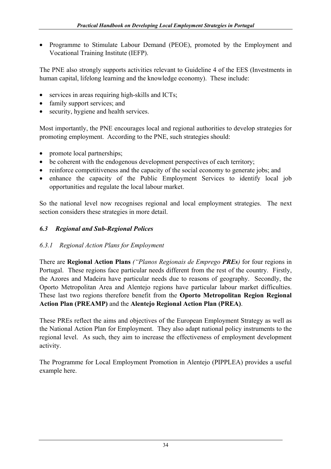• Programme to Stimulate Labour Demand (PEOE), promoted by the Employment and Vocational Training Institute (IEFP).

The PNE also strongly supports activities relevant to Guideline 4 of the EES (Investments in human capital, lifelong learning and the knowledge economy). These include:

- services in areas requiring high-skills and ICTs:
- family support services; and
- security, hygiene and health services.

Most importantly, the PNE encourages local and regional authorities to develop strategies for promoting employment. According to the PNE, such strategies should:

- promote local partnerships;
- be coherent with the endogenous development perspectives of each territory;
- reinforce competitiveness and the capacity of the social economy to generate jobs; and
- enhance the capacity of the Public Employment Services to identify local job opportunities and regulate the local labour market.

So the national level now recognises regional and local employment strategies. The next section considers these strategies in more detail.

## *6.3 Regional and Sub-Regional Polices*

## *6.3.1 Regional Action Plans for Employment*

There are **Regional Action Plans** *("Planos Regionais de Emprego PREs)* for four regions in Portugal. These regions face particular needs different from the rest of the country. Firstly, the Azores and Madeira have particular needs due to reasons of geography. Secondly, the Oporto Metropolitan Area and Alentejo regions have particular labour market difficulties. These last two regions therefore benefit from the **Oporto Metropolitan Region Regional Action Plan (PREAMP)** and the **Alentejo Regional Action Plan (PREA)**.

These PREs reflect the aims and objectives of the European Employment Strategy as well as the National Action Plan for Employment. They also adapt national policy instruments to the regional level. As such, they aim to increase the effectiveness of employment development activity.

The Programme for Local Employment Promotion in Alentejo (PIPPLEA) provides a useful example here.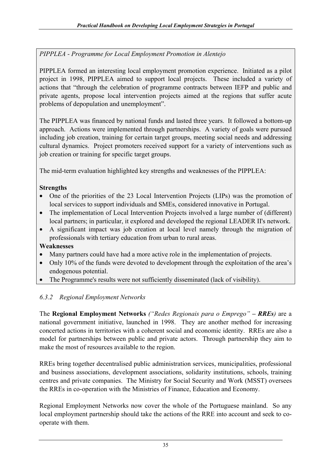*PIPPLEA - Programme for Local Employment Promotion in Alentejo* 

PIPPLEA formed an interesting local employment promotion experience. Initiated as a pilot project in 1998, PIPPLEA aimed to support local projects. These included a variety of actions that "through the celebration of programme contracts between IEFP and public and private agents, propose local intervention projects aimed at the regions that suffer acute problems of depopulation and unemployment".

The PIPPLEA was financed by national funds and lasted three years. It followed a bottom-up approach. Actions were implemented through partnerships. A variety of goals were pursued including job creation, training for certain target groups, meeting social needs and addressing cultural dynamics. Project promoters received support for a variety of interventions such as job creation or training for specific target groups.

The mid-term evaluation highlighted key strengths and weaknesses of the PIPPLEA:

## **Strengths**

- One of the priorities of the 23 Local Intervention Projects (LIPs) was the promotion of local services to support individuals and SMEs, considered innovative in Portugal.
- The implementation of Local Intervention Projects involved a large number of (different) local partners; in particular, it explored and developed the regional LEADER II's network.
- A significant impact was job creation at local level namely through the migration of professionals with tertiary education from urban to rural areas.

#### **Weaknesses**

- Many partners could have had a more active role in the implementation of projects.
- Only 10% of the funds were devoted to development through the exploitation of the area's endogenous potential.
- The Programme's results were not sufficiently disseminated (lack of visibility).

# *6.3.2 Regional Employment Networks*

The **Regional Employment Networks** *("Redes Regionais para o Emprego" – RREs)* are a national government initiative, launched in 1998. They are another method for increasing concerted actions in territories with a coherent social and economic identity. RREs are also a model for partnerships between public and private actors. Through partnership they aim to make the most of resources available to the region.

RREs bring together decentralised public administration services, municipalities, professional and business associations, development associations, solidarity institutions, schools, training centres and private companies. The Ministry for Social Security and Work (MSST) oversees the RREs in co-operation with the Ministries of Finance, Education and Economy.

Regional Employment Networks now cover the whole of the Portuguese mainland. So any local employment partnership should take the actions of the RRE into account and seek to cooperate with them.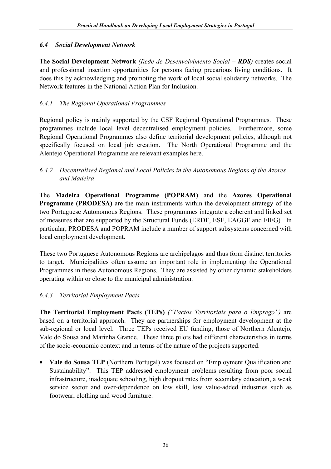# *6.4 Social Development Network*

The **Social Development Network** *(Rede de Desenvolvimento Social – RDS)* creates social and professional insertion opportunities for persons facing precarious living conditions. It does this by acknowledging and promoting the work of local social solidarity networks. The Network features in the National Action Plan for Inclusion.

# *6.4.1 The Regional Operational Programmes*

Regional policy is mainly supported by the CSF Regional Operational Programmes. These programmes include local level decentralised employment policies. Furthermore, some Regional Operational Programmes also define territorial development policies, although not specifically focused on local job creation. The North Operational Programme and the Alentejo Operational Programme are relevant examples here.

#### *6.4.2 Decentralised Regional and Local Policies in the Autonomous Regions of the Azores and Madeira*

The **Madeira Operational Programme (POPRAM)** and the **Azores Operational Programme (PRODESA)** are the main instruments within the development strategy of the two Portuguese Autonomous Regions. These programmes integrate a coherent and linked set of measures that are supported by the Structural Funds (ERDF, ESF, EAGGF and FIFG). In particular, PRODESA and POPRAM include a number of support subsystems concerned with local employment development.

These two Portuguese Autonomous Regions are archipelagos and thus form distinct territories to target. Municipalities often assume an important role in implementing the Operational Programmes in these Autonomous Regions. They are assisted by other dynamic stakeholders operating within or close to the municipal administration.

# *6.4.3 Territorial Employment Pacts*

**The Territorial Employment Pacts (TEPs)** *("Pactos Territoriais para o Emprego")* are based on a territorial approach. They are partnerships for employment development at the sub-regional or local level. Three TEPs received EU funding, those of Northern Alentejo, Vale do Sousa and Marinha Grande. These three pilots had different characteristics in terms of the socio-economic context and in terms of the nature of the projects supported.

• **Vale do Sousa TEP** (Northern Portugal) was focused on "Employment Qualification and Sustainability". This TEP addressed employment problems resulting from poor social infrastructure, inadequate schooling, high dropout rates from secondary education, a weak service sector and over-dependence on low skill, low value-added industries such as footwear, clothing and wood furniture.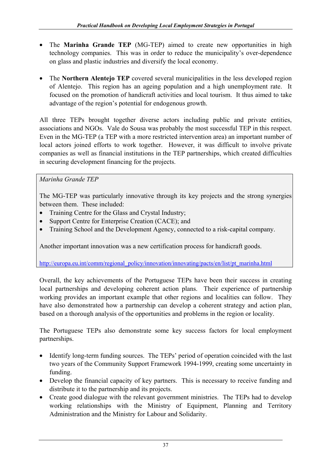- The **Marinha Grande TEP** (MG-TEP) aimed to create new opportunities in high technology companies. This was in order to reduce the municipality's over-dependence on glass and plastic industries and diversify the local economy.
- The **Northern Alentejo TEP** covered several municipalities in the less developed region of Alentejo. This region has an ageing population and a high unemployment rate. It focused on the promotion of handicraft activities and local tourism. It thus aimed to take advantage of the region's potential for endogenous growth.

All three TEPs brought together diverse actors including public and private entities, associations and NGOs. Vale do Sousa was probably the most successful TEP in this respect. Even in the MG-TEP (a TEP with a more restricted intervention area) an important number of local actors joined efforts to work together. However, it was difficult to involve private companies as well as financial institutions in the TEP partnerships, which created difficulties in securing development financing for the projects.

*Marinha Grande TEP* 

The MG-TEP was particularly innovative through its key projects and the strong synergies between them. These included:

- Training Centre for the Glass and Crystal Industry;
- Support Centre for Enterprise Creation (CACE); and
- Training School and the Development Agency, connected to a risk-capital company.

Another important innovation was a new certification process for handicraft goods.

http://europa.eu.int/comm/regional\_policy/innovation/innovating/pacts/en/list/pt\_marinha.html

Overall, the key achievements of the Portuguese TEPs have been their success in creating local partnerships and developing coherent action plans. Their experience of partnership working provides an important example that other regions and localities can follow. They have also demonstrated how a partnership can develop a coherent strategy and action plan, based on a thorough analysis of the opportunities and problems in the region or locality.

The Portuguese TEPs also demonstrate some key success factors for local employment partnerships.

- Identify long-term funding sources. The TEPs' period of operation coincided with the last two years of the Community Support Framework 1994-1999, creating some uncertainty in funding.
- Develop the financial capacity of key partners. This is necessary to receive funding and distribute it to the partnership and its projects.
- Create good dialogue with the relevant government ministries. The TEPs had to develop working relationships with the Ministry of Equipment, Planning and Territory Administration and the Ministry for Labour and Solidarity.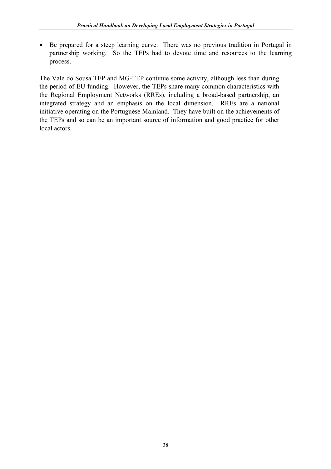• Be prepared for a steep learning curve. There was no previous tradition in Portugal in partnership working. So the TEPs had to devote time and resources to the learning process.

The Vale do Sousa TEP and MG-TEP continue some activity, although less than during the period of EU funding. However, the TEPs share many common characteristics with the Regional Employment Networks (RREs), including a broad-based partnership, an integrated strategy and an emphasis on the local dimension. RREs are a national initiative operating on the Portuguese Mainland. They have built on the achievements of the TEPs and so can be an important source of information and good practice for other local actors.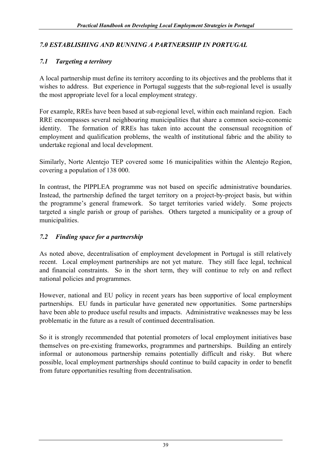#### *7.0 ESTABLISHING AND RUNNING A PARTNERSHIP IN PORTUGAL*

#### *7.1 Targeting a territory*

A local partnership must define its territory according to its objectives and the problems that it wishes to address. But experience in Portugal suggests that the sub-regional level is usually the most appropriate level for a local employment strategy.

For example, RREs have been based at sub-regional level, within each mainland region. Each RRE encompasses several neighbouring municipalities that share a common socio-economic identity. The formation of RREs has taken into account the consensual recognition of employment and qualification problems, the wealth of institutional fabric and the ability to undertake regional and local development.

Similarly, Norte Alentejo TEP covered some 16 municipalities within the Alentejo Region, covering a population of 138 000.

In contrast, the PIPPLEA programme was not based on specific administrative boundaries. Instead, the partnership defined the target territory on a project-by-project basis, but within the programme's general framework. So target territories varied widely. Some projects targeted a single parish or group of parishes. Others targeted a municipality or a group of municipalities.

#### *7.2 Finding space for a partnership*

As noted above, decentralisation of employment development in Portugal is still relatively recent. Local employment partnerships are not yet mature. They still face legal, technical and financial constraints. So in the short term, they will continue to rely on and reflect national policies and programmes.

However, national and EU policy in recent years has been supportive of local employment partnerships. EU funds in particular have generated new opportunities. Some partnerships have been able to produce useful results and impacts. Administrative weaknesses may be less problematic in the future as a result of continued decentralisation.

So it is strongly recommended that potential promoters of local employment initiatives base themselves on pre-existing frameworks, programmes and partnerships. Building an entirely informal or autonomous partnership remains potentially difficult and risky. But where possible, local employment partnerships should continue to build capacity in order to benefit from future opportunities resulting from decentralisation.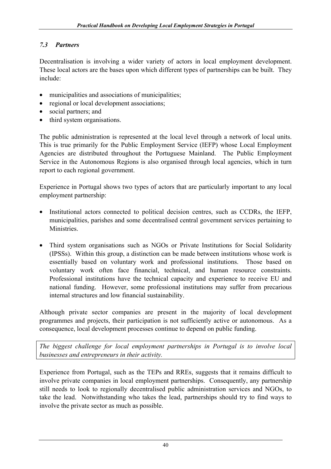# *7.3 Partners*

Decentralisation is involving a wider variety of actors in local employment development. These local actors are the bases upon which different types of partnerships can be built. They include:

- municipalities and associations of municipalities:
- regional or local development associations:
- social partners; and
- third system organisations.

The public administration is represented at the local level through a network of local units. This is true primarily for the Public Employment Service (IEFP) whose Local Employment Agencies are distributed throughout the Portuguese Mainland. The Public Employment Service in the Autonomous Regions is also organised through local agencies, which in turn report to each regional government.

Experience in Portugal shows two types of actors that are particularly important to any local employment partnership:

- Institutional actors connected to political decision centres, such as CCDRs, the IEFP, municipalities, parishes and some decentralised central government services pertaining to Ministries.
- Third system organisations such as NGOs or Private Institutions for Social Solidarity (IPSSs). Within this group, a distinction can be made between institutions whose work is essentially based on voluntary work and professional institutions. Those based on voluntary work often face financial, technical, and human resource constraints. Professional institutions have the technical capacity and experience to receive EU and national funding. However, some professional institutions may suffer from precarious internal structures and low financial sustainability.

Although private sector companies are present in the majority of local development programmes and projects, their participation is not sufficiently active or autonomous. As a consequence, local development processes continue to depend on public funding.

*The biggest challenge for local employment partnerships in Portugal is to involve local businesses and entrepreneurs in their activity.* 

Experience from Portugal, such as the TEPs and RREs, suggests that it remains difficult to involve private companies in local employment partnerships. Consequently, any partnership still needs to look to regionally decentralised public administration services and NGOs, to take the lead. Notwithstanding who takes the lead, partnerships should try to find ways to involve the private sector as much as possible.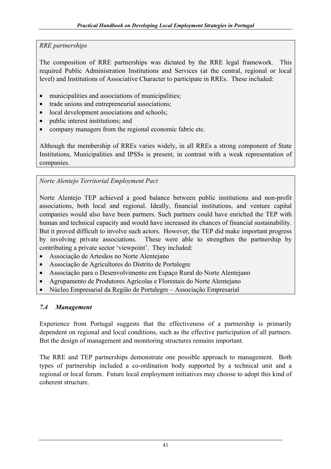## *RRE partnerships*

The composition of RRE partnerships was dictated by the RRE legal framework. This required Public Administration Institutions and Services (at the central, regional or local level) and Institutions of Associative Character to participate in RREs. These included:

- municipalities and associations of municipalities:
- trade unions and entrepreneurial associations:
- local development associations and schools;
- public interest institutions; and
- company managers from the regional economic fabric etc.

Although the membership of RREs varies widely, in all RREs a strong component of State Institutions, Municipalities and IPSSs is present, in contrast with a weak representation of companies.

# *Norte Alentejo Territorial Employment Pact*

Norte Alentejo TEP achieved a good balance between public institutions and non-profit associations, both local and regional. Ideally, financial institutions, and venture capital companies would also have been partners. Such partners could have enriched the TEP with human and technical capacity and would have increased its chances of financial sustainability. But it proved difficult to involve such actors. However, the TEP did make important progress by involving private associations. These were able to strengthen the partnership by contributing a private sector 'viewpoint'. They included:

- Associação de Artesãos no Norte Alentejano
- Associação de Agricultores do Distrito de Portalegre
- Associação para o Desenvolvimento em Espaço Rural do Norte Alentejano
- Agrupamento de Produtores Agrícolas e Florestais do Norte Alentejano
- Núcleo Empresarial da Região de Portalegre Associação Empresarial

# *7.4 Management*

Experience from Portugal suggests that the effectiveness of a partnership is primarily dependent on regional and local conditions, such as the effective participation of all partners. But the design of management and monitoring structures remains important.

The RRE and TEP partnerships demonstrate one possible approach to management. Both types of partnership included a co-ordination body supported by a technical unit and a regional or local forum. Future local employment initiatives may choose to adopt this kind of coherent structure.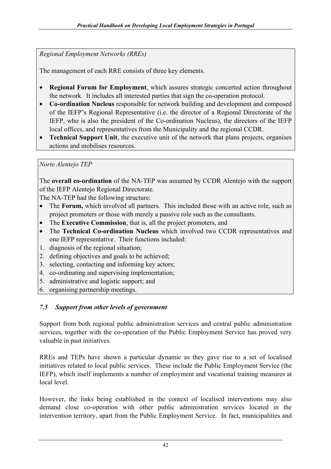*Regional Employment Networks (RREs)* 

The management of each RRE consists of three key elements.

- **Regional Forum for Employment**, which assures strategic concerted action throughout the network. It includes all interested parties that sign the co-operation protocol.
- **Co-ordination Nucleus** responsible for network building and development and composed of the IEFP's Regional Representative (i.e. the director of a Regional Directorate of the IEFP, who is also the president of the Co-ordination Nucleus), the directors of the IEFP local offices, and representatives from the Municipality and the regional CCDR.
- **Technical Support Unit**, the executive unit of the network that plans projects, organises actions and mobilises resources.

# *Norte Alentejo TEP*

The **overall co-ordination** of the NA-TEP was assumed by CCDR Alentejo with the support of the IEFP Alentejo Regional Directorate.

The NA-TEP had the following structure:

- The **Forum,** which involved all partners. This included those with an active role, such as project promoters or those with merely a passive role such as the consultants.
- The **Executive Commission**, that is, all the project promoters, and
- The **Technical Co-ordination Nucleus** which involved two CCDR representatives and one IEFP representative. Their functions included:
- 1. diagnosis of the regional situation;
- 2. defining objectives and goals to be achieved;
- 3. selecting, contacting and informing key actors;
- 4. co-ordinating and supervising implementation;
- 5. administrative and logistic support; and
- 6. organising partnership meetings.

# *7.5 Support from other levels of government*

Support from both regional public administration services and central public administration services, together with the co-operation of the Public Employment Service has proved very valuable in past initiatives.

RREs and TEPs have shown a particular dynamic as they gave rise to a set of localised initiatives related to local public services. These include the Public Employment Service (the IEFP), which itself implements a number of employment and vocational training measures at local level.

However, the links being established in the context of localised interventions may also demand close co-operation with other public administration services located in the intervention territory, apart from the Public Employment Service. In fact, municipalities and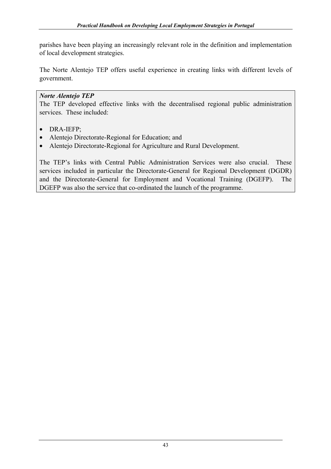parishes have been playing an increasingly relevant role in the definition and implementation of local development strategies.

The Norte Alentejo TEP offers useful experience in creating links with different levels of government.

#### *Norte Alentejo TEP*

The TEP developed effective links with the decentralised regional public administration services. These included:

- DRA-IEFP;
- Alentejo Directorate-Regional for Education; and
- Alentejo Directorate-Regional for Agriculture and Rural Development.

The TEP's links with Central Public Administration Services were also crucial. These services included in particular the Directorate-General for Regional Development (DGDR) and the Directorate-General for Employment and Vocational Training (DGEFP). The DGEFP was also the service that co-ordinated the launch of the programme.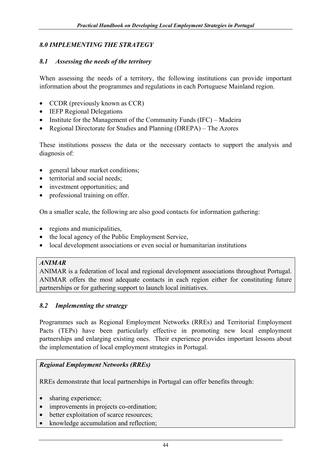#### *8.0 IMPLEMENTING THE STRATEGY*

#### *8.1 Assessing the needs of the territory*

When assessing the needs of a territory, the following institutions can provide important information about the programmes and regulations in each Portuguese Mainland region.

- CCDR (previously known as CCR)
- IEFP Regional Delegations
- Institute for the Management of the Community Funds (IFC) Madeira
- Regional Directorate for Studies and Planning (DREPA) The Azores

These institutions possess the data or the necessary contacts to support the analysis and diagnosis of:

- general labour market conditions;
- territorial and social needs;
- investment opportunities; and
- professional training on offer.

On a smaller scale, the following are also good contacts for information gathering:

- regions and municipalities,
- the local agency of the Public Employment Service,
- local development associations or even social or humanitarian institutions

#### *ANIMAR*

ANIMAR is a federation of local and regional development associations throughout Portugal. ANIMAR offers the most adequate contacts in each region either for constituting future partnerships or for gathering support to launch local initiatives.

#### *8.2 Implementing the strategy*

Programmes such as Regional Employment Networks (RREs) and Territorial Employment Pacts (TEPs) have been particularly effective in promoting new local employment partnerships and enlarging existing ones. Their experience provides important lessons about the implementation of local employment strategies in Portugal.

#### *Regional Employment Networks (RREs)*

RREs demonstrate that local partnerships in Portugal can offer benefits through:

- sharing experience;
- improvements in projects co-ordination;
- better exploitation of scarce resources;
- knowledge accumulation and reflection;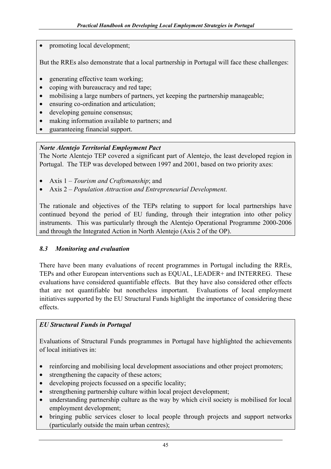• promoting local development;

But the RREs also demonstrate that a local partnership in Portugal will face these challenges:

- generating effective team working;
- coping with bureaucracy and red tape;
- mobilising a large numbers of partners, yet keeping the partnership manageable;
- ensuring co-ordination and articulation;
- developing genuine consensus;
- making information available to partners; and
- guaranteeing financial support.

#### *Norte Alentejo Territorial Employment Pact*

The Norte Alentejo TEP covered a significant part of Alentejo, the least developed region in Portugal. The TEP was developed between 1997 and 2001, based on two priority axes:

- Axis 1 *Tourism and Craftsmanship*; and
- Axis 2 *Population Attraction and Entrepreneurial Development*.

The rationale and objectives of the TEPs relating to support for local partnerships have continued beyond the period of EU funding, through their integration into other policy instruments. This was particularly through the Alentejo Operational Programme 2000-2006 and through the Integrated Action in North Alentejo (Axis 2 of the OP).

#### *8.3 Monitoring and evaluation*

There have been many evaluations of recent programmes in Portugal including the RREs, TEPs and other European interventions such as EQUAL, LEADER+ and INTERREG. These evaluations have considered quantifiable effects. But they have also considered other effects that are not quantifiable but nonetheless important. Evaluations of local employment initiatives supported by the EU Structural Funds highlight the importance of considering these effects.

## *EU Structural Funds in Portugal*

Evaluations of Structural Funds programmes in Portugal have highlighted the achievements of local initiatives in:

- reinforcing and mobilising local development associations and other project promoters;
- strengthening the capacity of these actors;
- developing projects focussed on a specific locality;
- strengthening partnership culture within local project development;
- understanding partnership culture as the way by which civil society is mobilised for local employment development;
- bringing public services closer to local people through projects and support networks (particularly outside the main urban centres);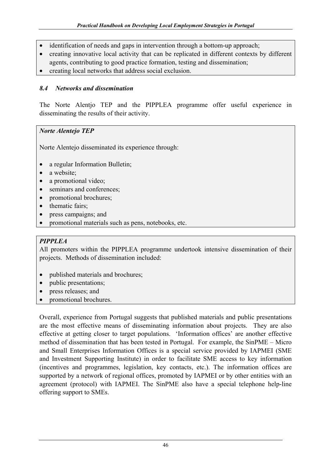- identification of needs and gaps in intervention through a bottom-up approach;
- creating innovative local activity that can be replicated in different contexts by different agents, contributing to good practice formation, testing and dissemination;
- creating local networks that address social exclusion.

#### *8.4 Networks and dissemination*

The Norte Alentjo TEP and the PIPPLEA programme offer useful experience in disseminating the results of their activity.

#### *Norte Alentejo TEP*

Norte Alentejo disseminated its experience through:

- a regular Information Bulletin;
- a website;
- a promotional video;
- seminars and conferences;
- promotional brochures;
- thematic fairs;
- press campaigns; and
- promotional materials such as pens, notebooks, etc.

## *PIPPLEA*

All promoters within the PIPPLEA programme undertook intensive dissemination of their projects. Methods of dissemination included:

- published materials and brochures;
- public presentations;
- press releases; and
- promotional brochures.

Overall, experience from Portugal suggests that published materials and public presentations are the most effective means of disseminating information about projects. They are also effective at getting closer to target populations. 'Information offices' are another effective method of dissemination that has been tested in Portugal. For example, the SinPME – Micro and Small Enterprises Information Offices is a special service provided by IAPMEI (SME and Investment Supporting Institute) in order to facilitate SME access to key information (incentives and programmes, legislation, key contacts, etc.). The information offices are supported by a network of regional offices, promoted by IAPMEI or by other entities with an agreement (protocol) with IAPMEI. The SinPME also have a special telephone help-line offering support to SMEs.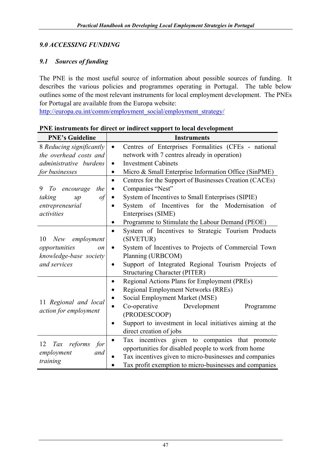# *9.0 ACCESSING FUNDING*

# *9.1 Sources of funding*

The PNE is the most useful source of information about possible sources of funding. It describes the various policies and programmes operating in Portugal. The table below outlines some of the most relevant instruments for local employment development. The PNEs for Portugal are available from the Europa website:

http://europa.eu.int/comm/employment\_social/employment\_strategy/

| <b>PNE's Guideline</b>         | <b>Instruments</b>                                                  |
|--------------------------------|---------------------------------------------------------------------|
| 8 Reducing significantly       | Centres of Enterprises Formalities (CFEs - national<br>$\bullet$    |
| the overhead costs and         | network with 7 centres already in operation)                        |
| administrative burdens         | <b>Investment Cabinets</b><br>$\bullet$                             |
| for businesses                 | Micro & Small Enterprise Information Office (SinPME)<br>$\bullet$   |
|                                | Centres for the Support of Businesses Creation (CACEs)<br>$\bullet$ |
| 9<br>the<br>To<br>encourage    | Companies "Nest"<br>$\bullet$                                       |
| taking<br>of<br>$\mu$          | System of Incentives to Small Enterprises (SIPIE)                   |
| entrepreneurial                | System of Incentives for the Modernisation<br>of                    |
| activities                     | Enterprises (SIME)                                                  |
|                                | Programme to Stimulate the Labour Demand (PEOE)                     |
|                                | System of Incentives to Strategic Tourism Products<br>$\bullet$     |
| employment<br>10<br>New        | (SIVETUR)                                                           |
| opportunities<br><sub>on</sub> | System of Incentives to Projects of Commercial Town<br>$\bullet$    |
| knowledge-base society         | Planning (URBCOM)                                                   |
| and services                   | Support of Integrated Regional Tourism Projects of<br>$\bullet$     |
|                                | <b>Structuring Character (PITER)</b>                                |
|                                | Regional Actions Plans for Employment (PREs)<br>$\bullet$           |
|                                | <b>Regional Employment Networks (RREs)</b>                          |
| 11 Regional and local          | Social Employment Market (MSE)                                      |
| action for employment          | Co-operative<br>Development<br>Programme                            |
|                                | (PRODESCOOP)                                                        |
|                                | Support to investment in local initiatives aiming at the            |
|                                | direct creation of jobs                                             |
| 12<br>Tax                      | Tax incentives given to companies that promote<br>$\bullet$         |
| reforms<br>for                 | opportunities for disabled people to work from home                 |
| employment<br>and              | Tax incentives given to micro-businesses and companies              |
| training                       | Tax profit exemption to micro-businesses and companies              |

**PNE instruments for direct or indirect support to local development**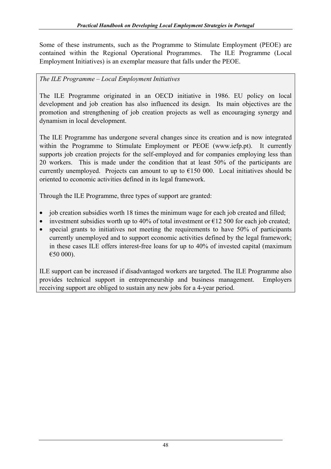Some of these instruments, such as the Programme to Stimulate Employment (PEOE) are contained within the Regional Operational Programmes. The ILE Programme (Local Employment Initiatives) is an exemplar measure that falls under the PEOE.

## *The ILE Programme – Local Employment Initiatives*

The ILE Programme originated in an OECD initiative in 1986. EU policy on local development and job creation has also influenced its design. Its main objectives are the promotion and strengthening of job creation projects as well as encouraging synergy and dynamism in local development.

The ILE Programme has undergone several changes since its creation and is now integrated within the Programme to Stimulate Employment or PEOE (www.iefp.pt). It currently supports job creation projects for the self-employed and for companies employing less than 20 workers. This is made under the condition that at least 50% of the participants are currently unemployed. Projects can amount to up to  $E150000$ . Local initiatives should be oriented to economic activities defined in its legal framework.

Through the ILE Programme, three types of support are granted:

- job creation subsidies worth 18 times the minimum wage for each job created and filled;
- investment subsidies worth up to 40% of total investment or  $\epsilon$ 12 500 for each job created;
- special grants to initiatives not meeting the requirements to have 50% of participants currently unemployed and to support economic activities defined by the legal framework; in these cases ILE offers interest-free loans for up to 40% of invested capital (maximum €50 000).

ILE support can be increased if disadvantaged workers are targeted. The ILE Programme also provides technical support in entrepreneurship and business management. Employers receiving support are obliged to sustain any new jobs for a 4-year period.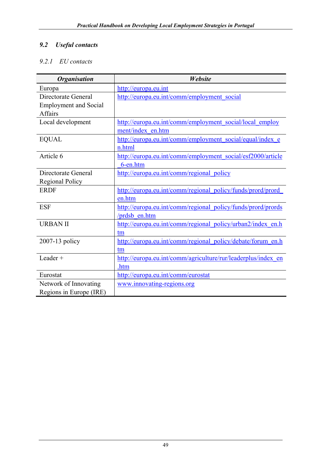# *9.2 Useful contacts*

# *9.2.1 EU contacts*

| <b>Organisation</b>          | <b>Website</b>                                                |
|------------------------------|---------------------------------------------------------------|
| Europa                       | http://europa.eu.int                                          |
| Directorate General          | http://europa.eu.int/comm/employment social                   |
| <b>Employment and Social</b> |                                                               |
| <b>Affairs</b>               |                                                               |
| Local development            | http://europa.eu.int/comm/employment social/local employ      |
|                              | ment/index en.htm                                             |
| <b>EQUAL</b>                 | http://europa.eu.int/comm/employment social/equal/index e     |
|                              | n.html                                                        |
| Article 6                    | http://europa.eu.int/comm/employment_social/esf2000/article   |
|                              | 6-en.htm                                                      |
| Directorate General          | http://europa.eu.int/comm/regional policy                     |
| <b>Regional Policy</b>       |                                                               |
| <b>ERDF</b>                  | http://europa.eu.int/comm/regional_policy/funds/prord/prord   |
|                              | en.htm                                                        |
| <b>ESF</b>                   | http://europa.eu.int/comm/regional policy/funds/prord/prords  |
|                              | /prdsb en.htm                                                 |
| <b>URBAN II</b>              | http://europa.eu.int/comm/regional policy/urban2/index en.h   |
|                              | tm                                                            |
| 2007-13 policy               | http://europa.eu.int/comm/regional policy/debate/forum en.h   |
|                              | tm                                                            |
| Leader +                     | http://europa.eu.int/comm/agriculture/rur/leaderplus/index en |
|                              | .htm                                                          |
| Eurostat                     | http://europa.eu.int/comm/eurostat                            |
| Network of Innovating        | www.innovating-regions.org                                    |
| Regions in Europe (IRE)      |                                                               |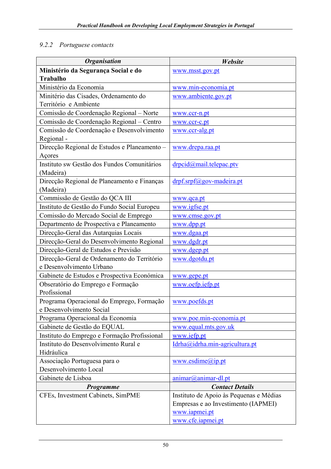## *9.2.2 Portuguese contacts*

| <b>Organisation</b>                          | Website                                 |
|----------------------------------------------|-----------------------------------------|
| Ministério da Segurança Social e do          | www.msst.gov.pt                         |
| <b>Trabalho</b>                              |                                         |
| Ministério da Economia                       | www.min-economia.pt                     |
| Minitério das Cisades, Ordenamento do        | www.ambiente.gov.pt                     |
| Território e Ambiente                        |                                         |
| Comissão de Coordenação Regional - Norte     | www.ccr-n.pt                            |
| Comissão de Coordenação Regional - Centro    | www.ccr-c.pt                            |
| Comissão de Coordenação e Desenvolvimento    | www.ccr-alg.pt                          |
| Regional -                                   |                                         |
| Direcção Regional de Estudos e Planeamento - | www.drepa.raa.pt                        |
| Açores                                       |                                         |
| Instituto sw Gestão dos Fundos Comunitários  | drpcid@mail.telepac.ptv                 |
| (Madeira)                                    |                                         |
| Direcção Regional de Planeamento e Finanças  | drpf.srpf@gov-madeira.pt                |
| (Madeira)                                    |                                         |
| Commissão de Gestão do QCA III               | www.qca.pt                              |
| Instituto de Gestão do Fundo Social Europeu  | www.igfse.pt                            |
| Comissão do Mercado Social de Emprego        | www.cmse.gov.pt                         |
| Departmento de Prospectiva e Planeamento     | www.dpp.pt                              |
| Direcção-Geral das Autarquias Locais         | www.dgaa.pt                             |
| Direcção-Geral do Desenvolvimento Regional   | www.dgdr.pt                             |
| Direcção-Geral de Estudos e Previsão         | www.dgep.pt                             |
| Direcção-Geral de Ordenamento do Território  | www.dgotdu.pt                           |
| e Desenvolvimento Urbano                     |                                         |
| Gabinete de Estudos e Prospectiva Económica  | www.gepe.pt                             |
| Obseratório do Emprego e Formação            | www.oefp.iefp.pt                        |
| Profissional                                 |                                         |
| Programa Operacional do Emprego, Formação    | www.poefds.pt                           |
| e Desenvolvimento Social                     |                                         |
| Programa Operacional da Economia             | www.poe.min-economia.pt                 |
| Gabinete de Gestão do EQUAL                  | www.equal.mts.gov.uk                    |
| Instituto do Emprego e Formação Profissional | www.iefp.pt                             |
| Instituto do Desenvolvimento Rural e         | Idrha@idrha.min-agricultura.pt          |
| Hidráulica                                   |                                         |
| Associação Portuguesa para o                 | www. esdim (a)ip.pt                     |
| Desenvolvimento Local                        |                                         |
| Gabinete de Lisboa                           | animar@animar-dl.pt                     |
| Programme                                    | <b>Contact Details</b>                  |
| CFEs, Investment Cabinets, SimPME            | Instituto de Apoio às Pequenas e Médias |
|                                              | Empresas e ao Investimento (IAPMEI)     |
|                                              | www.iapmei.pt                           |
|                                              | www.cfe.iapmei.pt                       |